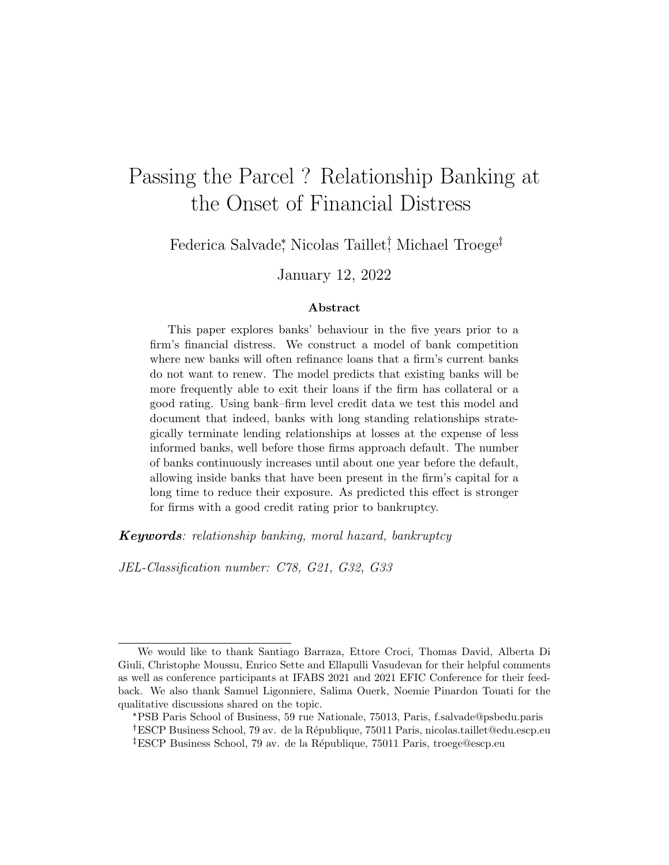# Passing the Parcel ? Relationship Banking at the Onset of Financial Distress

Federica Salvade, Nicolas Taillet<sup>†</sup>, Michael Troege<sup>‡</sup>

January 12, 2022

#### Abstract

This paper explores banks' behaviour in the five years prior to a firm's financial distress. We construct a model of bank competition where new banks will often refinance loans that a firm's current banks do not want to renew. The model predicts that existing banks will be more frequently able to exit their loans if the firm has collateral or a good rating. Using bank–firm level credit data we test this model and document that indeed, banks with long standing relationships strategically terminate lending relationships at losses at the expense of less informed banks, well before those firms approach default. The number of banks continuously increases until about one year before the default, allowing inside banks that have been present in the firm's capital for a long time to reduce their exposure. As predicted this effect is stronger for firms with a good credit rating prior to bankruptcy.

Keywords: relationship banking, moral hazard, bankruptcy

JEL-Classification number: C78, G21, G32, G33

We would like to thank Santiago Barraza, Ettore Croci, Thomas David, Alberta Di Giuli, Christophe Moussu, Enrico Sette and Ellapulli Vasudevan for their helpful comments as well as conference participants at IFABS 2021 and 2021 EFIC Conference for their feedback. We also thank Samuel Ligonniere, Salima Ouerk, Noemie Pinardon Touati for the qualitative discussions shared on the topic.

<sup>\*</sup>PSB Paris School of Business, 59 rue Nationale, 75013, Paris, f.salvade@psbedu.paris <sup>†</sup>ESCP Business School, 79 av. de la République, 75011 Paris, nicolas.taillet@edu.escp.eu <sup>‡</sup>ESCP Business School, 79 av. de la République, 75011 Paris, troege@escp.eu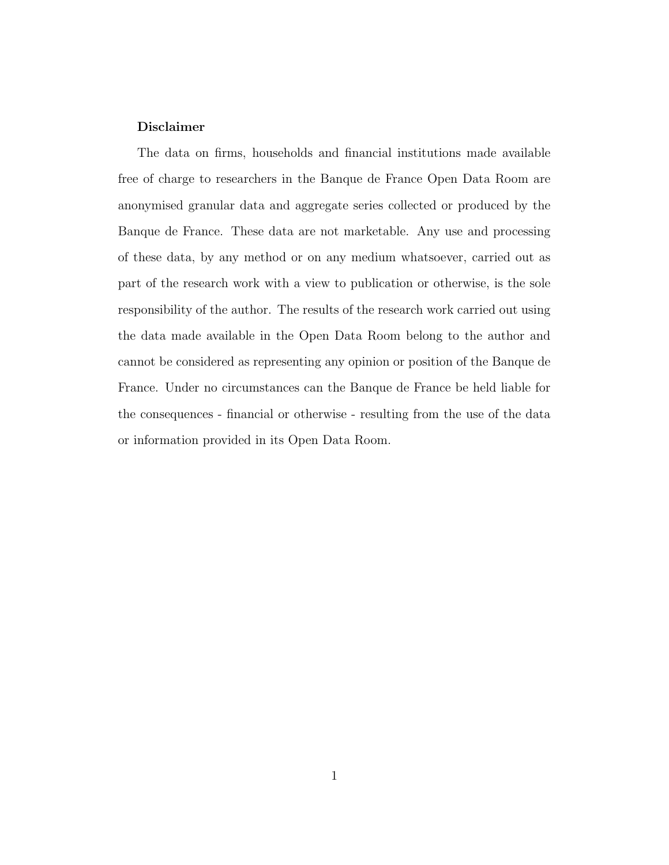#### Disclaimer

The data on firms, households and financial institutions made available free of charge to researchers in the Banque de France Open Data Room are anonymised granular data and aggregate series collected or produced by the Banque de France. These data are not marketable. Any use and processing of these data, by any method or on any medium whatsoever, carried out as part of the research work with a view to publication or otherwise, is the sole responsibility of the author. The results of the research work carried out using the data made available in the Open Data Room belong to the author and cannot be considered as representing any opinion or position of the Banque de France. Under no circumstances can the Banque de France be held liable for the consequences - financial or otherwise - resulting from the use of the data or information provided in its Open Data Room.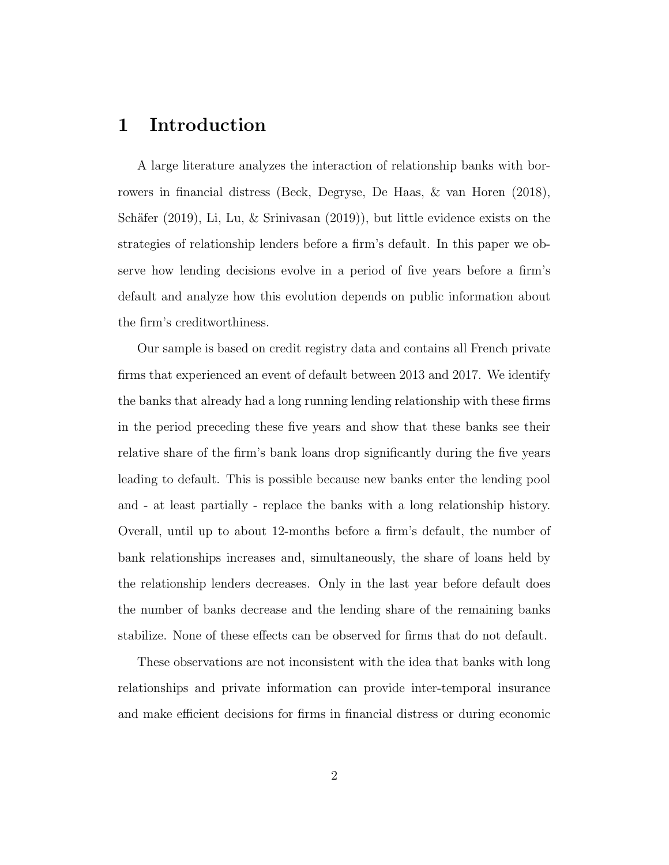# 1 Introduction

A large literature analyzes the interaction of relationship banks with borrowers in financial distress [\(Beck, Degryse, De Haas, & van Horen](#page-33-0) [\(2018\)](#page-33-0), Schäfer [\(2019\)](#page-37-0), [Li, Lu, & Srinivasan](#page-37-0) (2019)), but little evidence exists on the strategies of relationship lenders before a firm's default. In this paper we observe how lending decisions evolve in a period of five years before a firm's default and analyze how this evolution depends on public information about the firm's creditworthiness.

Our sample is based on credit registry data and contains all French private firms that experienced an event of default between 2013 and 2017. We identify the banks that already had a long running lending relationship with these firms in the period preceding these five years and show that these banks see their relative share of the firm's bank loans drop significantly during the five years leading to default. This is possible because new banks enter the lending pool and - at least partially - replace the banks with a long relationship history. Overall, until up to about 12-months before a firm's default, the number of bank relationships increases and, simultaneously, the share of loans held by the relationship lenders decreases. Only in the last year before default does the number of banks decrease and the lending share of the remaining banks stabilize. None of these effects can be observed for firms that do not default.

These observations are not inconsistent with the idea that banks with long relationships and private information can provide inter-temporal insurance and make efficient decisions for firms in financial distress or during economic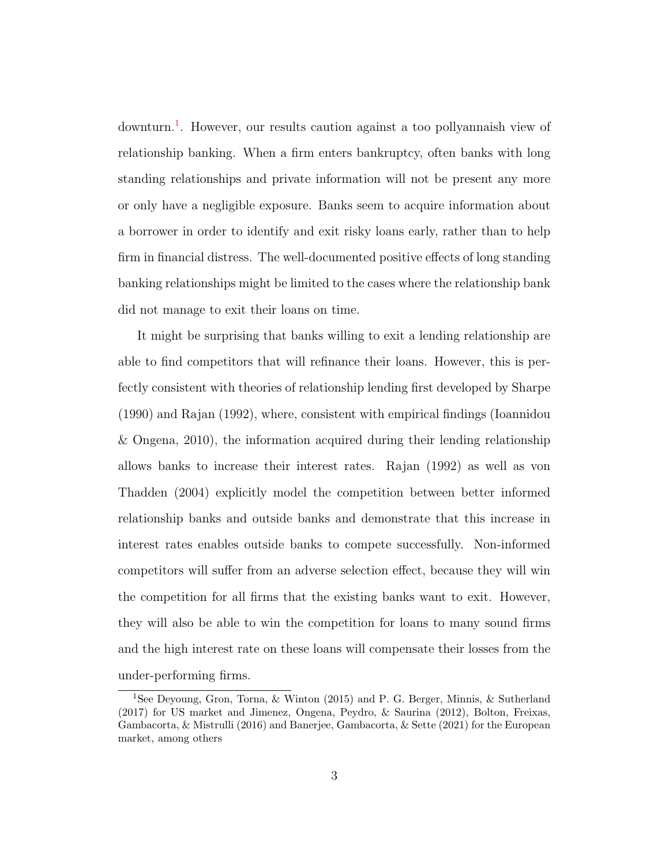downturn.<sup>[1](#page-3-0)</sup>. However, our results caution against a too pollyannaish view of relationship banking. When a firm enters bankruptcy, often banks with long standing relationships and private information will not be present any more or only have a negligible exposure. Banks seem to acquire information about a borrower in order to identify and exit risky loans early, rather than to help firm in financial distress. The well-documented positive effects of long standing banking relationships might be limited to the cases where the relationship bank did not manage to exit their loans on time.

It might be surprising that banks willing to exit a lending relationship are able to find competitors that will refinance their loans. However, this is perfectly consistent with theories of relationship lending first developed by [Sharpe](#page-38-1) [\(1990\)](#page-38-1) and [Rajan](#page-37-1) [\(1992\)](#page-37-1), where, consistent with empirical findings [\(Ioannidou](#page-36-0) [& Ongena,](#page-36-0) [2010\)](#page-36-0), the information acquired during their lending relationship allows banks to increase their interest rates. [Rajan](#page-37-1) [\(1992\)](#page-37-1) as well as [von](#page-38-2) [Thadden](#page-38-2) [\(2004\)](#page-38-2) explicitly model the competition between better informed relationship banks and outside banks and demonstrate that this increase in interest rates enables outside banks to compete successfully. Non-informed competitors will suffer from an adverse selection effect, because they will win the competition for all firms that the existing banks want to exit. However, they will also be able to win the competition for loans to many sound firms and the high interest rate on these loans will compensate their losses from the under-performing firms.

<span id="page-3-0"></span><sup>1</sup>See [Deyoung, Gron, Torna, & Winton](#page-35-0) [\(2015\)](#page-35-0) and [P. G. Berger, Minnis, & Sutherland](#page-34-0) [\(2017\)](#page-34-0) for US market and [Jimenez, Ongena, Peydro, & Saurina](#page-36-1) [\(2012\)](#page-36-1), [Bolton, Freixas,](#page-34-1) [Gambacorta, & Mistrulli](#page-34-1) [\(2016\)](#page-34-1) and [Banerjee, Gambacorta, & Sette](#page-33-1) [\(2021\)](#page-33-1) for the European market, among others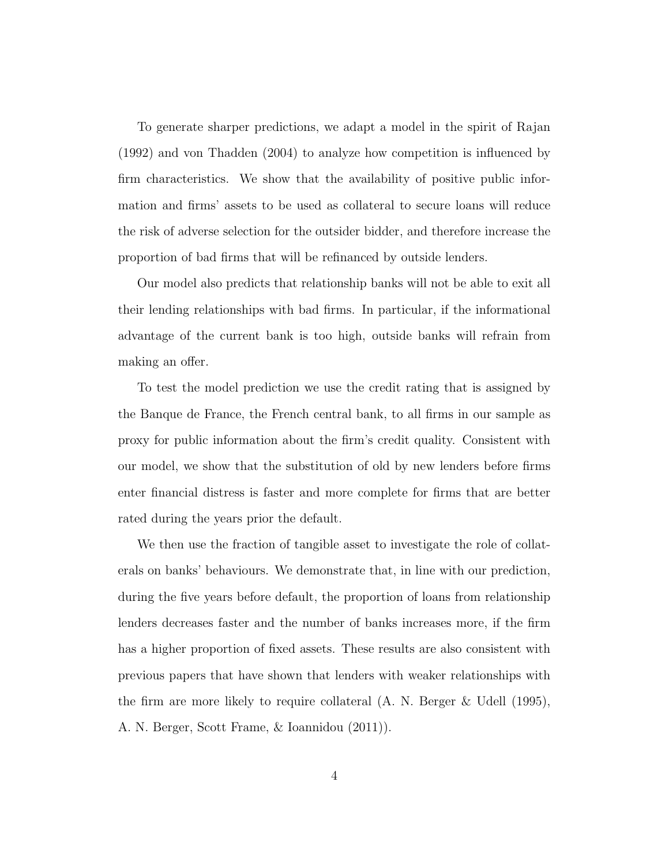To generate sharper predictions, we adapt a model in the spirit of [Rajan](#page-37-1) [\(1992\)](#page-37-1) and [von Thadden](#page-38-2) [\(2004\)](#page-38-2) to analyze how competition is influenced by firm characteristics. We show that the availability of positive public information and firms' assets to be used as collateral to secure loans will reduce the risk of adverse selection for the outsider bidder, and therefore increase the proportion of bad firms that will be refinanced by outside lenders.

Our model also predicts that relationship banks will not be able to exit all their lending relationships with bad firms. In particular, if the informational advantage of the current bank is too high, outside banks will refrain from making an offer.

To test the model prediction we use the credit rating that is assigned by the Banque de France, the French central bank, to all firms in our sample as proxy for public information about the firm's credit quality. Consistent with our model, we show that the substitution of old by new lenders before firms enter financial distress is faster and more complete for firms that are better rated during the years prior the default.

We then use the fraction of tangible asset to investigate the role of collaterals on banks' behaviours. We demonstrate that, in line with our prediction, during the five years before default, the proportion of loans from relationship lenders decreases faster and the number of banks increases more, if the firm has a higher proportion of fixed assets. These results are also consistent with previous papers that have shown that lenders with weaker relationships with the firm are more likely to require collateral [\(A. N. Berger & Udell](#page-34-2) [\(1995\)](#page-34-2), [A. N. Berger, Scott Frame, & Ioannidou](#page-33-2) [\(2011\)](#page-33-2)).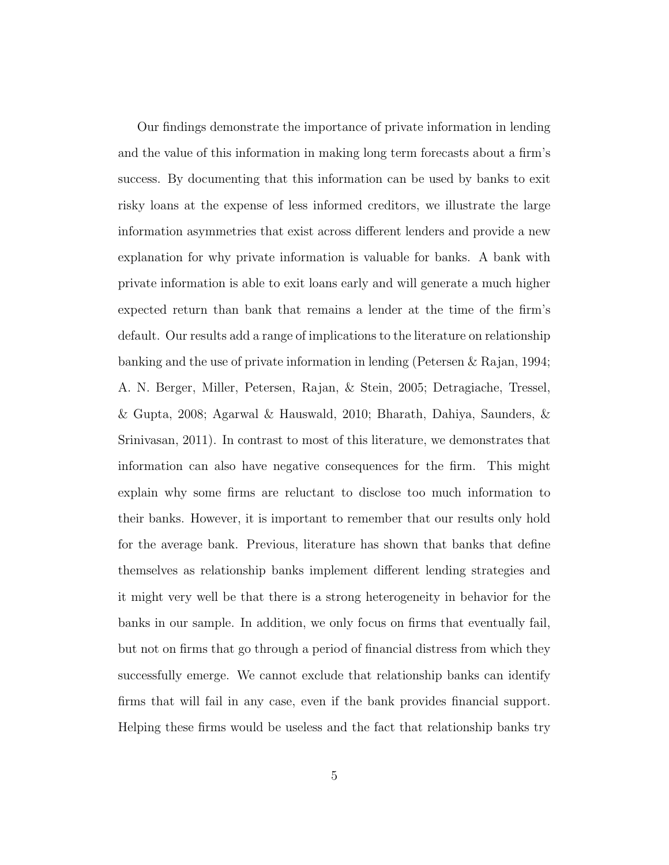Our findings demonstrate the importance of private information in lending and the value of this information in making long term forecasts about a firm's success. By documenting that this information can be used by banks to exit risky loans at the expense of less informed creditors, we illustrate the large information asymmetries that exist across different lenders and provide a new explanation for why private information is valuable for banks. A bank with private information is able to exit loans early and will generate a much higher expected return than bank that remains a lender at the time of the firm's default. Our results add a range of implications to the literature on relationship banking and the use of private information in lending [\(Petersen & Rajan,](#page-37-2) [1994;](#page-37-2) [A. N. Berger, Miller, Petersen, Rajan, & Stein,](#page-33-3) [2005;](#page-33-3) [Detragiache, Tressel,](#page-35-1) [& Gupta,](#page-35-1) [2008;](#page-35-1) [Agarwal & Hauswald,](#page-33-4) [2010;](#page-33-4) [Bharath, Dahiya, Saunders, &](#page-34-3) [Srinivasan,](#page-34-3) [2011\)](#page-34-3). In contrast to most of this literature, we demonstrates that information can also have negative consequences for the firm. This might explain why some firms are reluctant to disclose too much information to their banks. However, it is important to remember that our results only hold for the average bank. Previous, literature has shown that banks that define themselves as relationship banks implement different lending strategies and it might very well be that there is a strong heterogeneity in behavior for the banks in our sample. In addition, we only focus on firms that eventually fail, but not on firms that go through a period of financial distress from which they successfully emerge. We cannot exclude that relationship banks can identify firms that will fail in any case, even if the bank provides financial support. Helping these firms would be useless and the fact that relationship banks try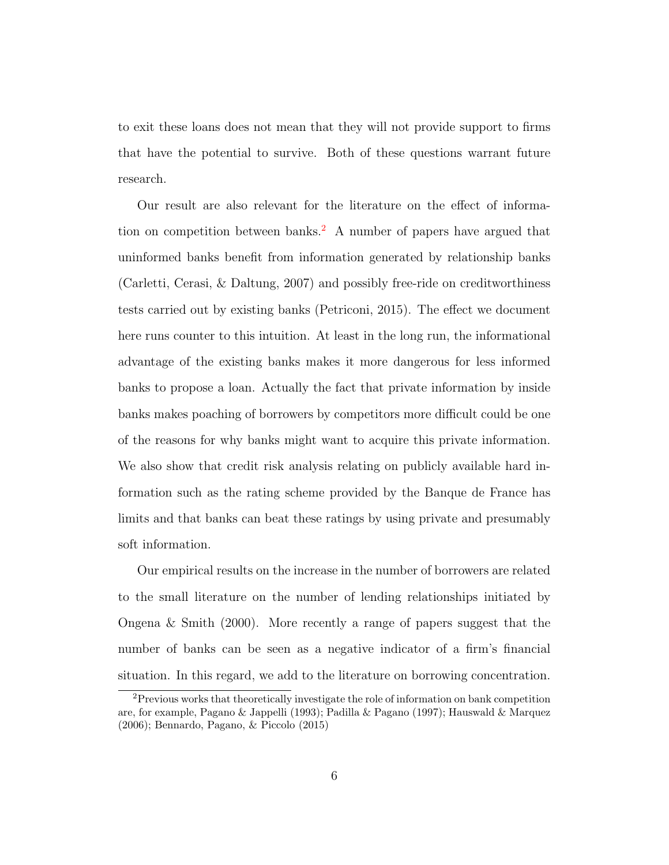to exit these loans does not mean that they will not provide support to firms that have the potential to survive. Both of these questions warrant future research.

Our result are also relevant for the literature on the effect of informa-tion on competition between banks.<sup>[2](#page-6-0)</sup> A number of papers have argued that uninformed banks benefit from information generated by relationship banks [\(Carletti, Cerasi, & Daltung,](#page-34-4) [2007\)](#page-34-4) and possibly free-ride on creditworthiness tests carried out by existing banks [\(Petriconi,](#page-37-3) [2015\)](#page-37-3). The effect we document here runs counter to this intuition. At least in the long run, the informational advantage of the existing banks makes it more dangerous for less informed banks to propose a loan. Actually the fact that private information by inside banks makes poaching of borrowers by competitors more difficult could be one of the reasons for why banks might want to acquire this private information. We also show that credit risk analysis relating on publicly available hard information such as the rating scheme provided by the Banque de France has limits and that banks can beat these ratings by using private and presumably soft information.

Our empirical results on the increase in the number of borrowers are related to the small literature on the number of lending relationships initiated by [Ongena & Smith](#page-37-4) [\(2000\)](#page-37-4). More recently a range of papers suggest that the number of banks can be seen as a negative indicator of a firm's financial situation. In this regard, we add to the literature on borrowing concentration.

<span id="page-6-0"></span><sup>2</sup>Previous works that theoretically investigate the role of information on bank competition are, for example, [Pagano & Jappelli](#page-37-5) [\(1993\)](#page-37-5); [Padilla & Pagano](#page-37-6) [\(1997\)](#page-37-6); [Hauswald & Marquez](#page-36-2) [\(2006\)](#page-36-2); [Bennardo, Pagano, & Piccolo](#page-33-5) [\(2015\)](#page-33-5)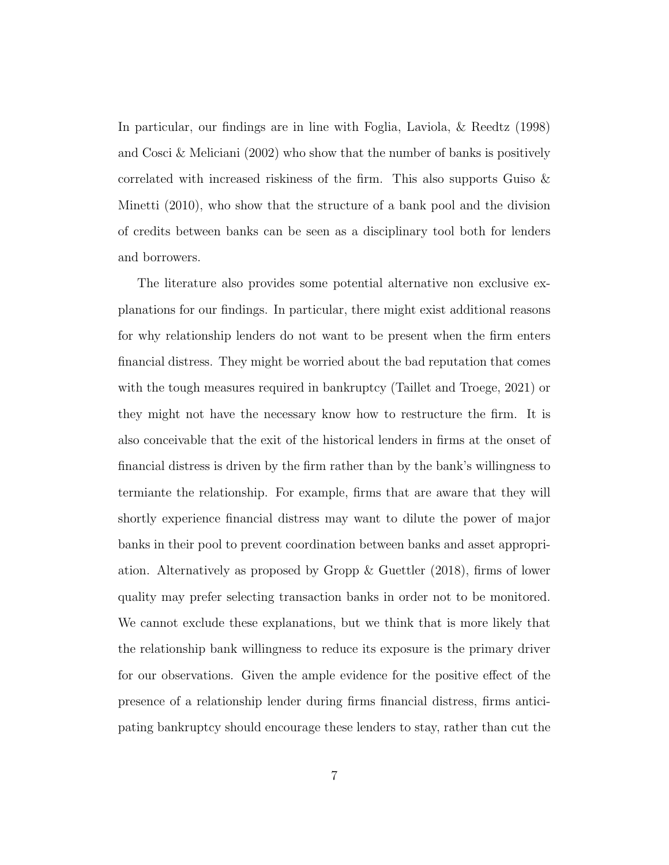In particular, our findings are in line with [Foglia, Laviola, & Reedtz](#page-35-2) [\(1998\)](#page-35-2) and [Cosci & Meliciani](#page-34-5) [\(2002\)](#page-34-5) who show that the number of banks is positively correlated with increased riskiness of the firm. This also supports [Guiso &](#page-36-3) [Minetti](#page-36-3) [\(2010\)](#page-36-3), who show that the structure of a bank pool and the division of credits between banks can be seen as a disciplinary tool both for lenders and borrowers.

The literature also provides some potential alternative non exclusive explanations for our findings. In particular, there might exist additional reasons for why relationship lenders do not want to be present when the firm enters financial distress. They might be worried about the bad reputation that comes with the tough measures required in bankruptcy (Taillet and Troege, 2021) or they might not have the necessary know how to restructure the firm. It is also conceivable that the exit of the historical lenders in firms at the onset of financial distress is driven by the firm rather than by the bank's willingness to termiante the relationship. For example, firms that are aware that they will shortly experience financial distress may want to dilute the power of major banks in their pool to prevent coordination between banks and asset appropriation. Alternatively as proposed by [Gropp & Guettler](#page-36-4) [\(2018\)](#page-36-4), firms of lower quality may prefer selecting transaction banks in order not to be monitored. We cannot exclude these explanations, but we think that is more likely that the relationship bank willingness to reduce its exposure is the primary driver for our observations. Given the ample evidence for the positive effect of the presence of a relationship lender during firms financial distress, firms anticipating bankruptcy should encourage these lenders to stay, rather than cut the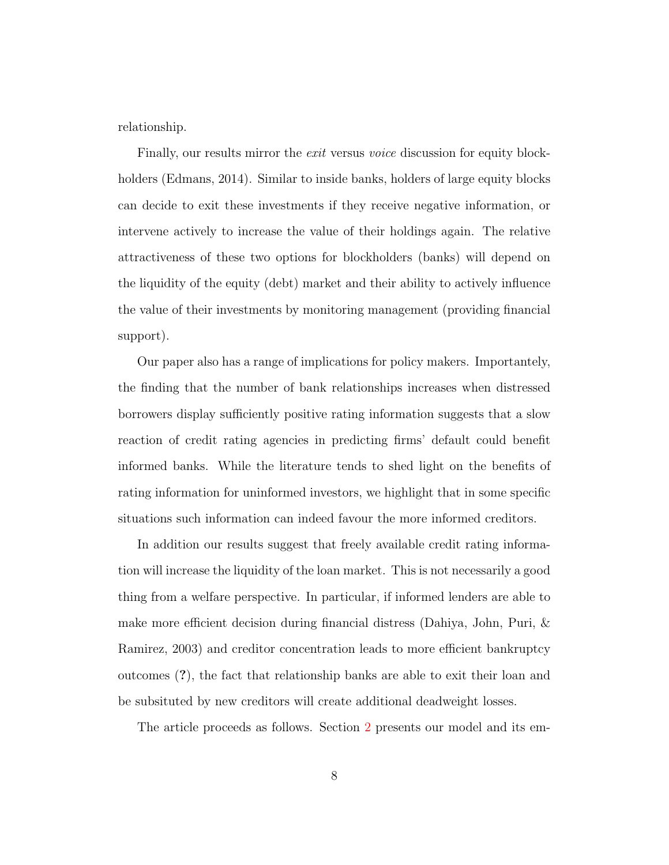relationship.

Finally, our results mirror the *exit* versus *voice* discussion for equity blockholders [\(Edmans,](#page-35-3) [2014\)](#page-35-3). Similar to inside banks, holders of large equity blocks can decide to exit these investments if they receive negative information, or intervene actively to increase the value of their holdings again. The relative attractiveness of these two options for blockholders (banks) will depend on the liquidity of the equity (debt) market and their ability to actively influence the value of their investments by monitoring management (providing financial support).

Our paper also has a range of implications for policy makers. Importantely, the finding that the number of bank relationships increases when distressed borrowers display sufficiently positive rating information suggests that a slow reaction of credit rating agencies in predicting firms' default could benefit informed banks. While the literature tends to shed light on the benefits of rating information for uninformed investors, we highlight that in some specific situations such information can indeed favour the more informed creditors.

In addition our results suggest that freely available credit rating information will increase the liquidity of the loan market. This is not necessarily a good thing from a welfare perspective. In particular, if informed lenders are able to make more efficient decision during financial distress [\(Dahiya, John, Puri, &](#page-35-4) [Ramirez,](#page-35-4) [2003\)](#page-35-4) and creditor concentration leads to more efficient bankruptcy outcomes (?), the fact that relationship banks are able to exit their loan and be subsituted by new creditors will create additional deadweight losses.

The article proceeds as follows. Section [2](#page-9-0) presents our model and its em-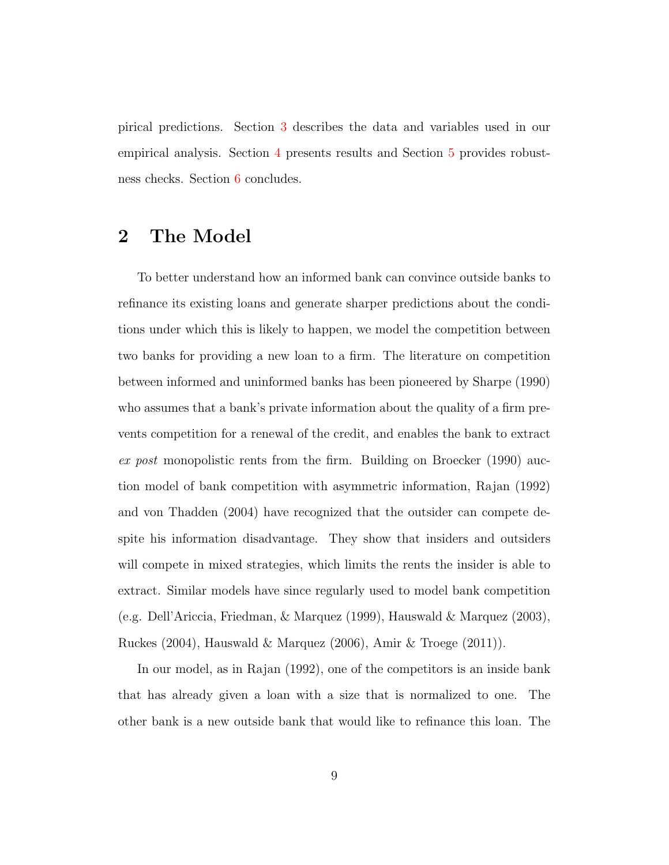pirical predictions. Section [3](#page-15-0) describes the data and variables used in our empirical analysis. Section [4](#page-21-0) presents results and Section [5](#page-29-0) provides robustness checks. Section [6](#page-32-0) concludes.

# <span id="page-9-0"></span>2 The Model

To better understand how an informed bank can convince outside banks to refinance its existing loans and generate sharper predictions about the conditions under which this is likely to happen, we model the competition between two banks for providing a new loan to a firm. The literature on competition between informed and uninformed banks has been pioneered by [Sharpe](#page-38-1) [\(1990\)](#page-38-1) who assumes that a bank's private information about the quality of a firm prevents competition for a renewal of the credit, and enables the bank to extract ex post monopolistic rents from the firm. Building on [Broecker](#page-34-6) [\(1990\)](#page-34-6) auction model of bank competition with asymmetric information, [Rajan](#page-37-1) [\(1992\)](#page-37-1) and [von Thadden](#page-38-2) [\(2004\)](#page-38-2) have recognized that the outsider can compete despite his information disadvantage. They show that insiders and outsiders will compete in mixed strategies, which limits the rents the insider is able to extract. Similar models have since regularly used to model bank competition (e.g. [Dell'Ariccia, Friedman, & Marquez](#page-35-5) [\(1999\)](#page-35-5), [Hauswald & Marquez](#page-36-5) [\(2003\)](#page-36-5), [Ruckes](#page-38-3) [\(2004\)](#page-38-3), [Hauswald & Marquez](#page-36-2) [\(2006\)](#page-36-2), [Amir & Troege](#page-33-6) [\(2011\)](#page-33-6)).

In our model, as in [Rajan](#page-37-1) [\(1992\)](#page-37-1), one of the competitors is an inside bank that has already given a loan with a size that is normalized to one. The other bank is a new outside bank that would like to refinance this loan. The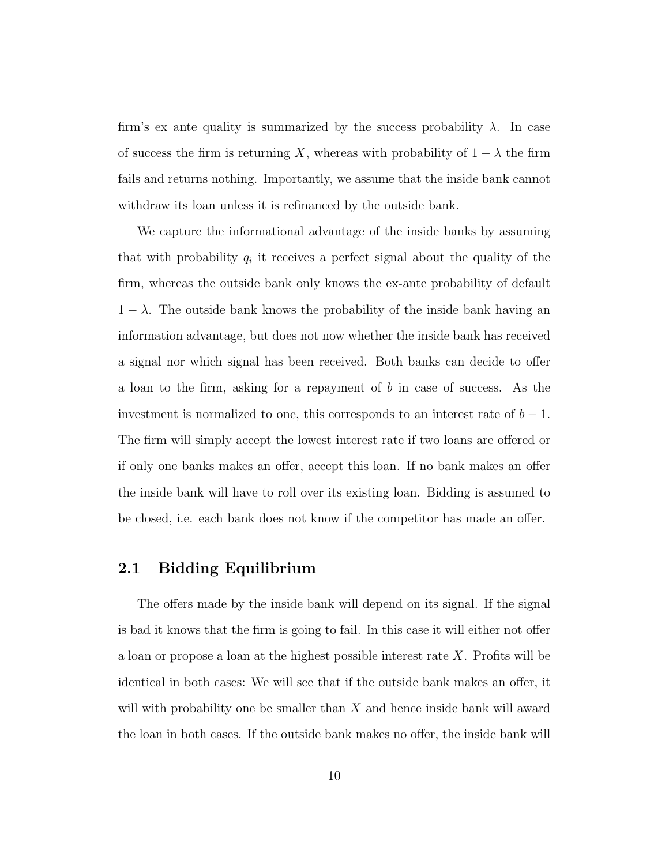firm's ex ante quality is summarized by the success probability  $\lambda$ . In case of success the firm is returning X, whereas with probability of  $1 - \lambda$  the firm fails and returns nothing. Importantly, we assume that the inside bank cannot withdraw its loan unless it is refinanced by the outside bank.

We capture the informational advantage of the inside banks by assuming that with probability  $q_i$  it receives a perfect signal about the quality of the firm, whereas the outside bank only knows the ex-ante probability of default  $1 - \lambda$ . The outside bank knows the probability of the inside bank having an information advantage, but does not now whether the inside bank has received a signal nor which signal has been received. Both banks can decide to offer a loan to the firm, asking for a repayment of b in case of success. As the investment is normalized to one, this corresponds to an interest rate of  $b - 1$ . The firm will simply accept the lowest interest rate if two loans are offered or if only one banks makes an offer, accept this loan. If no bank makes an offer the inside bank will have to roll over its existing loan. Bidding is assumed to be closed, i.e. each bank does not know if the competitor has made an offer.

## 2.1 Bidding Equilibrium

The offers made by the inside bank will depend on its signal. If the signal is bad it knows that the firm is going to fail. In this case it will either not offer a loan or propose a loan at the highest possible interest rate X. Profits will be identical in both cases: We will see that if the outside bank makes an offer, it will with probability one be smaller than  $X$  and hence inside bank will award the loan in both cases. If the outside bank makes no offer, the inside bank will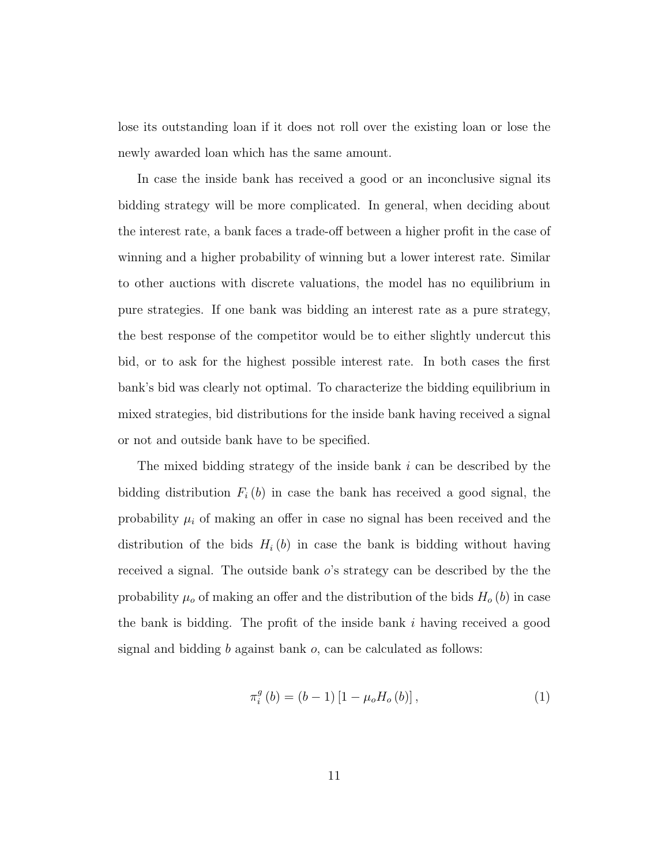lose its outstanding loan if it does not roll over the existing loan or lose the newly awarded loan which has the same amount.

In case the inside bank has received a good or an inconclusive signal its bidding strategy will be more complicated. In general, when deciding about the interest rate, a bank faces a trade-off between a higher profit in the case of winning and a higher probability of winning but a lower interest rate. Similar to other auctions with discrete valuations, the model has no equilibrium in pure strategies. If one bank was bidding an interest rate as a pure strategy, the best response of the competitor would be to either slightly undercut this bid, or to ask for the highest possible interest rate. In both cases the first bank's bid was clearly not optimal. To characterize the bidding equilibrium in mixed strategies, bid distributions for the inside bank having received a signal or not and outside bank have to be specified.

The mixed bidding strategy of the inside bank  $i$  can be described by the bidding distribution  $F_i(b)$  in case the bank has received a good signal, the probability  $\mu_i$  of making an offer in case no signal has been received and the distribution of the bids  $H_i(b)$  in case the bank is bidding without having received a signal. The outside bank  $o$ 's strategy can be described by the the probability  $\mu_o$  of making an offer and the distribution of the bids  $H_o(b)$  in case the bank is bidding. The profit of the inside bank  $i$  having received a good signal and bidding b against bank o, can be calculated as follows:

<span id="page-11-0"></span>
$$
\pi_i^g(b) = (b-1) [1 - \mu_o H_o(b)], \qquad (1)
$$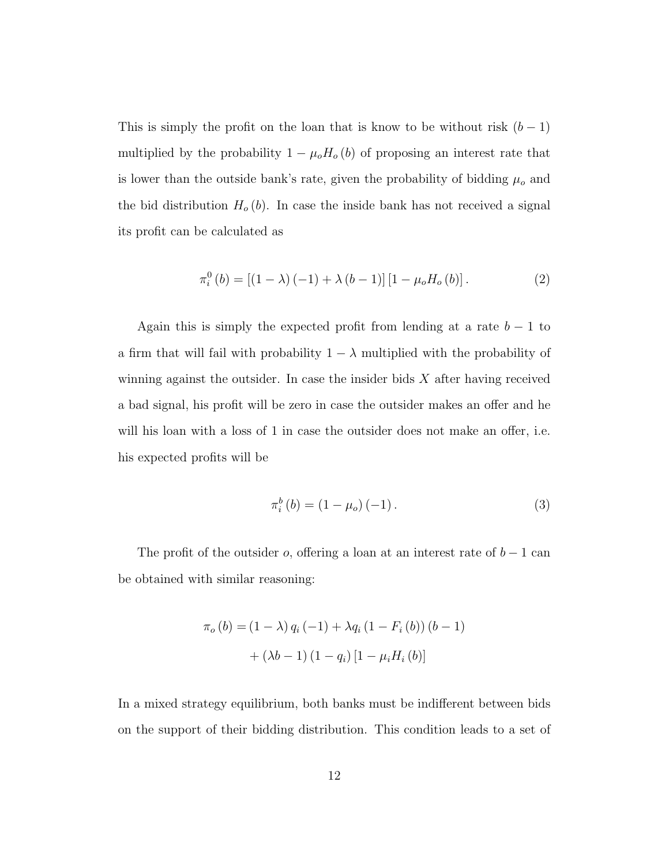This is simply the profit on the loan that is know to be without risk  $(b-1)$ multiplied by the probability  $1 - \mu_o H_o(b)$  of proposing an interest rate that is lower than the outside bank's rate, given the probability of bidding  $\mu_o$  and the bid distribution  $H_o(b)$ . In case the inside bank has not received a signal its profit can be calculated as

<span id="page-12-0"></span>
$$
\pi_i^0(b) = [(1 - \lambda)(-1) + \lambda (b - 1)][1 - \mu_o H_o(b)].
$$
\n(2)

Again this is simply the expected profit from lending at a rate  $b - 1$  to a firm that will fail with probability  $1 - \lambda$  multiplied with the probability of winning against the outsider. In case the insider bids  $X$  after having received a bad signal, his profit will be zero in case the outsider makes an offer and he will his loan with a loss of 1 in case the outsider does not make an offer, i.e. his expected profits will be

<span id="page-12-1"></span>
$$
\pi_i^b(b) = (1 - \mu_o)(-1). \tag{3}
$$

The profit of the outsider  $o$ , offering a loan at an interest rate of  $b - 1$  can be obtained with similar reasoning:

$$
\pi_o(b) = (1 - \lambda) q_i (-1) + \lambda q_i (1 - F_i(b)) (b - 1) + (\lambda b - 1) (1 - q_i) [1 - \mu_i H_i(b)]
$$

In a mixed strategy equilibrium, both banks must be indifferent between bids on the support of their bidding distribution. This condition leads to a set of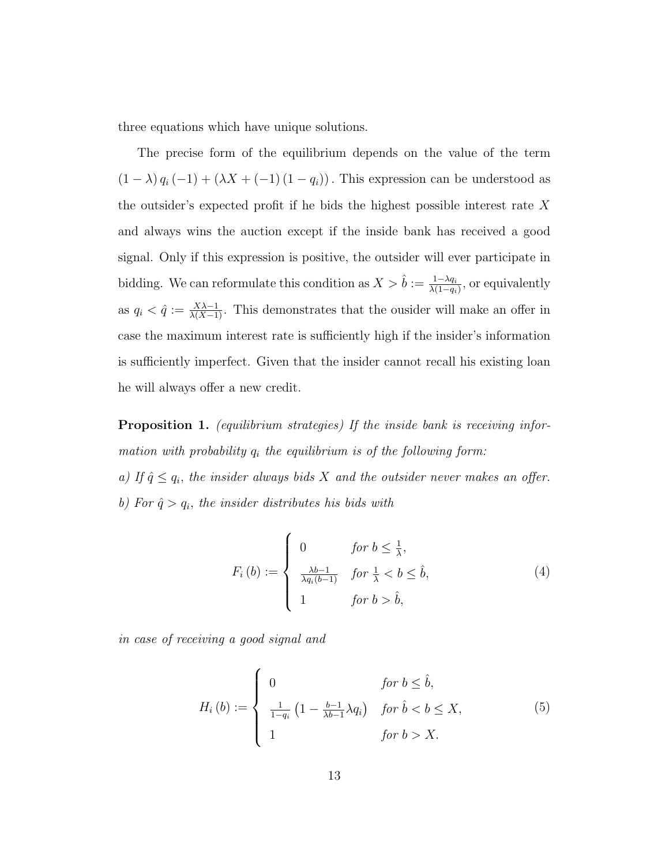three equations which have unique solutions.

The precise form of the equilibrium depends on the value of the term  $(1 - \lambda) q_i (-1) + (\lambda X + (-1) (1 - q_i))$ . This expression can be understood as the outsider's expected profit if he bids the highest possible interest rate  $X$ and always wins the auction except if the inside bank has received a good signal. Only if this expression is positive, the outsider will ever participate in bidding. We can reformulate this condition as  $X > \hat{b} := \frac{1-\lambda q_i}{\lambda(1-q_i)}$  $\frac{1-\lambda q_i}{\lambda(1-q_i)}$ , or equivalently as  $q_i < \hat{q} := \frac{X\lambda - 1}{\lambda(X-1)}$ . This demonstrates that the ousider will make an offer in case the maximum interest rate is sufficiently high if the insider's information is sufficiently imperfect. Given that the insider cannot recall his existing loan he will always offer a new credit.

<span id="page-13-0"></span>Proposition 1. (equilibrium strategies) If the inside bank is receiving information with probability  $q_i$  the equilibrium is of the following form: a) If  $\hat{q} \leq q_i$ , the insider always bids X and the outsider never makes an offer. b) For  $\hat{q} > q_i$ , the insider distributes his bids with

í

$$
F_i(b) := \begin{cases} 0 & \text{for } b \le \frac{1}{\lambda}, \\ \frac{\lambda b - 1}{\lambda q_i(b - 1)} & \text{for } \frac{1}{\lambda} < b \le \hat{b}, \\ 1 & \text{for } b > \hat{b}, \end{cases}
$$
(4)

in case of receiving a good signal and

<span id="page-13-1"></span>
$$
H_i(b) := \begin{cases} 0 & \text{for } b \leq \hat{b}, \\ \frac{1}{1-q_i} \left(1 - \frac{b-1}{\lambda b - 1} \lambda q_i\right) & \text{for } \hat{b} < b \leq X, \\ 1 & \text{for } b > X. \end{cases}
$$
 (5)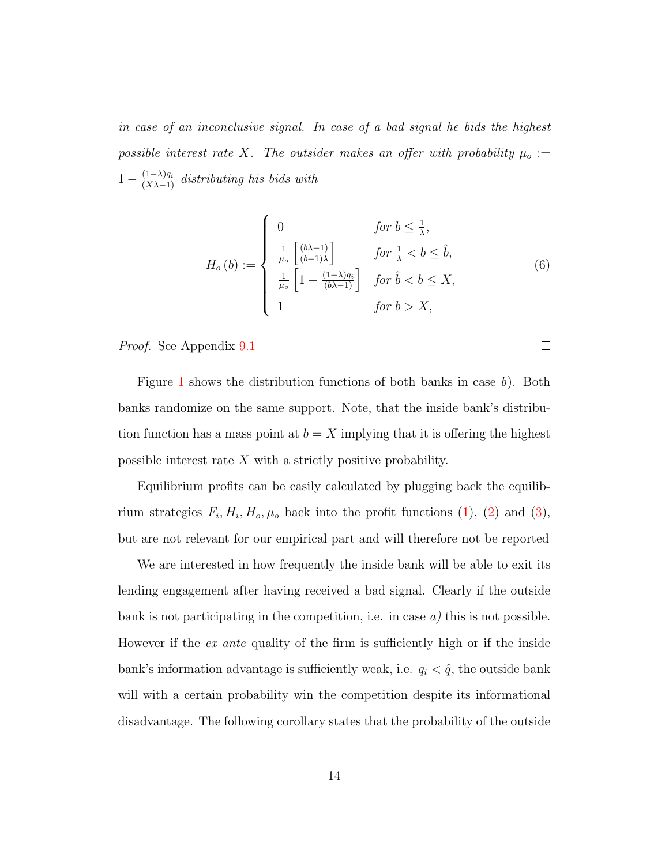in case of an inconclusive signal. In case of a bad signal he bids the highest possible interest rate X. The outsider makes an offer with probability  $\mu_o :=$  $1 - \frac{(1-\lambda)q_i}{(X\lambda-1)}$  distributing his bids with

$$
H_o(b) := \begin{cases} 0 & \text{for } b \le \frac{1}{\lambda}, \\ \frac{1}{\mu_o} \left[ \frac{(b\lambda - 1)}{(b - 1)\lambda} \right] & \text{for } \frac{1}{\lambda} < b \le \hat{b}, \\ \frac{1}{\mu_o} \left[ 1 - \frac{(1 - \lambda)q_i}{(b\lambda - 1)} \right] & \text{for } \hat{b} < b \le X, \\ 1 & \text{for } b > X, \end{cases}
$$
(6)

 $\Box$ 

Proof. See Appendix [9.1](#page-54-0)

Figure [1](#page-39-0) shows the distribution functions of both banks in case b). Both banks randomize on the same support. Note, that the inside bank's distribution function has a mass point at  $b = X$  implying that it is offering the highest possible interest rate  $X$  with a strictly positive probability.

Equilibrium profits can be easily calculated by plugging back the equilibrium strategies  $F_i$ ,  $H_i$ ,  $H_o$ ,  $\mu_o$  back into the profit functions [\(1\)](#page-11-0), [\(2\)](#page-12-0) and [\(3\)](#page-12-1), but are not relevant for our empirical part and will therefore not be reported

We are interested in how frequently the inside bank will be able to exit its lending engagement after having received a bad signal. Clearly if the outside bank is not participating in the competition, i.e. in case  $a$ ) this is not possible. However if the ex ante quality of the firm is sufficiently high or if the inside bank's information advantage is sufficiently weak, i.e.  $q_i < \hat{q}$ , the outside bank will with a certain probability win the competition despite its informational disadvantage. The following corollary states that the probability of the outside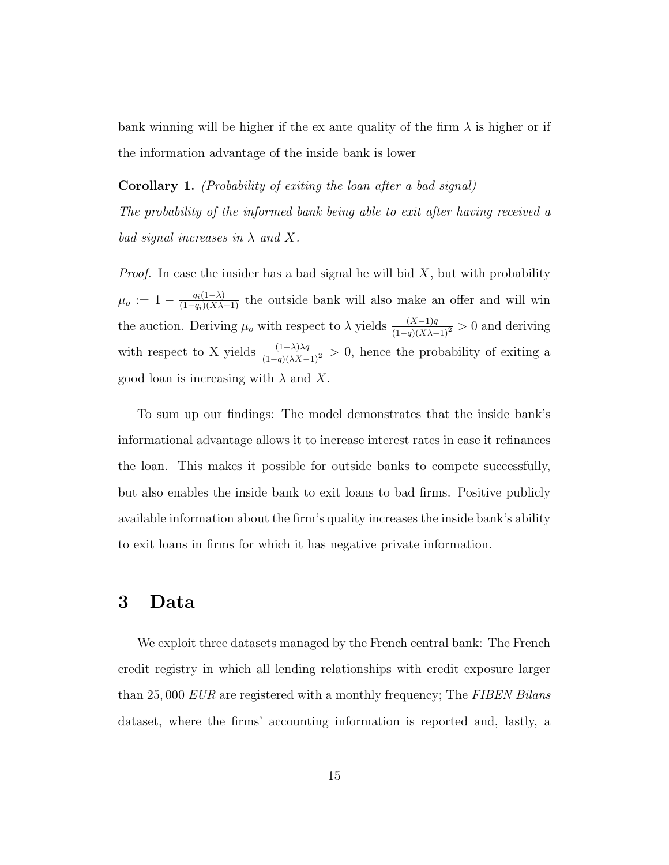bank winning will be higher if the ex ante quality of the firm  $\lambda$  is higher or if the information advantage of the inside bank is lower

Corollary 1. (Probability of exiting the loan after a bad signal) The probability of the informed bank being able to exit after having received a bad signal increases in  $\lambda$  and X.

*Proof.* In case the insider has a bad signal he will bid  $X$ , but with probability  $\mu_o := 1 - \frac{q_i(1-\lambda)}{(1-q_i)(X\lambda-1)}$  the outside bank will also make an offer and will win the auction. Deriving  $\mu_o$  with respect to  $\lambda$  yields  $\frac{(X-1)q}{(1-q)(X\lambda-1)^2} > 0$  and deriving with respect to X yields  $\frac{(1-\lambda)\lambda q}{(1-q)(\lambda X-1)^2} > 0$ , hence the probability of exiting a  $\Box$ good loan is increasing with  $\lambda$  and X.

To sum up our findings: The model demonstrates that the inside bank's informational advantage allows it to increase interest rates in case it refinances the loan. This makes it possible for outside banks to compete successfully, but also enables the inside bank to exit loans to bad firms. Positive publicly available information about the firm's quality increases the inside bank's ability to exit loans in firms for which it has negative private information.

# <span id="page-15-0"></span>3 Data

We exploit three datasets managed by the French central bank: The French credit registry in which all lending relationships with credit exposure larger than 25,000 EUR are registered with a monthly frequency; The FIBEN Bilans dataset, where the firms' accounting information is reported and, lastly, a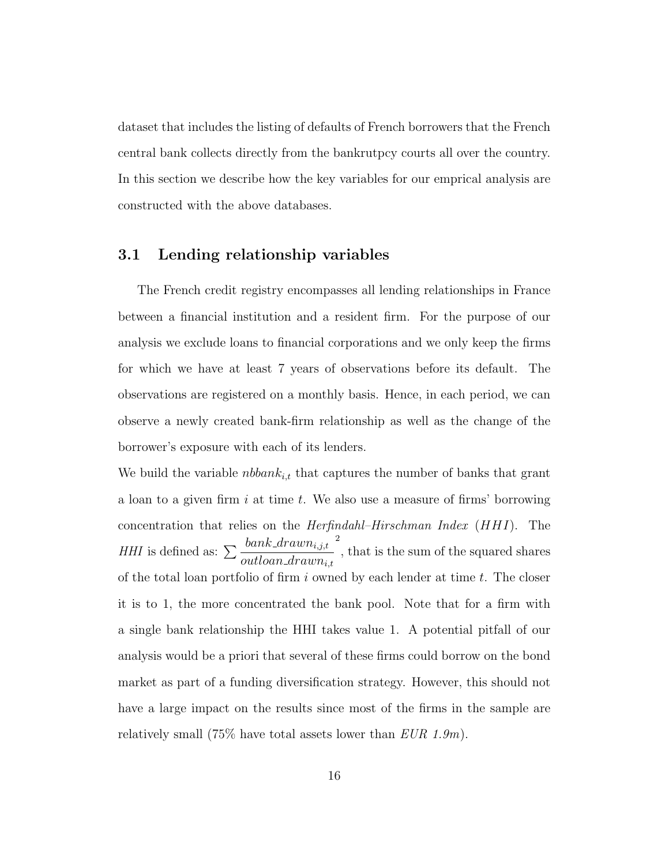dataset that includes the listing of defaults of French borrowers that the French central bank collects directly from the bankrutpcy courts all over the country. In this section we describe how the key variables for our emprical analysis are constructed with the above databases.

### 3.1 Lending relationship variables

The French credit registry encompasses all lending relationships in France between a financial institution and a resident firm. For the purpose of our analysis we exclude loans to financial corporations and we only keep the firms for which we have at least 7 years of observations before its default. The observations are registered on a monthly basis. Hence, in each period, we can observe a newly created bank-firm relationship as well as the change of the borrower's exposure with each of its lenders.

We build the variable *nbbank<sub>i,t</sub>* that captures the number of banks that grant a loan to a given firm  $i$  at time  $t$ . We also use a measure of firms' borrowing concentration that relies on the Herfindahl–Hirschman Index (HHI). The *HHI* is defined as:  $\sum \frac{bank\_drawn_{i,j,t}}{t}$  $\it out loan\_drawn_{i,t}$ 2 , that is the sum of the squared shares of the total loan portfolio of firm i owned by each lender at time  $t$ . The closer it is to 1, the more concentrated the bank pool. Note that for a firm with a single bank relationship the HHI takes value 1. A potential pitfall of our analysis would be a priori that several of these firms could borrow on the bond market as part of a funding diversification strategy. However, this should not have a large impact on the results since most of the firms in the sample are relatively small  $(75\%$  have total assets lower than  $EUR$  1.9m).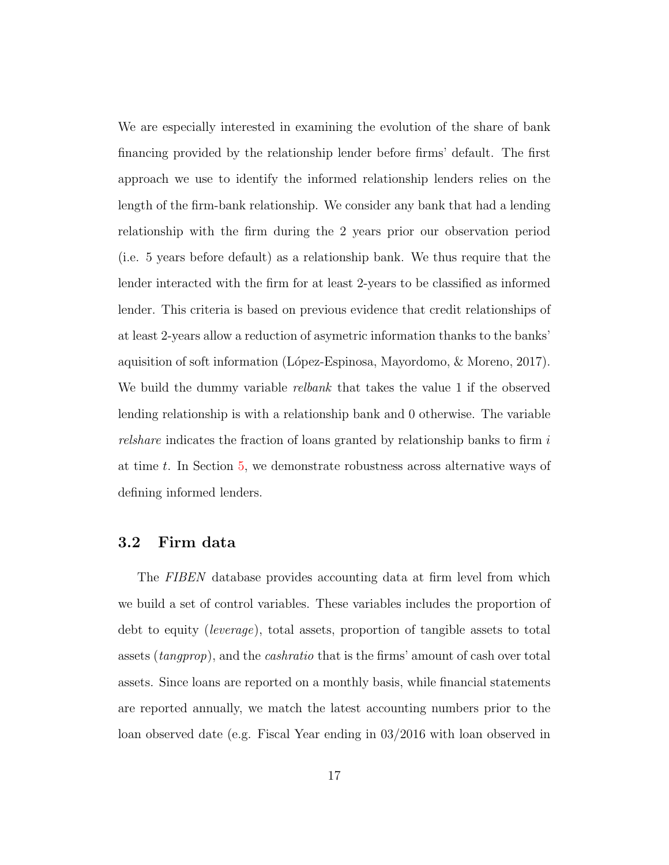We are especially interested in examining the evolution of the share of bank financing provided by the relationship lender before firms' default. The first approach we use to identify the informed relationship lenders relies on the length of the firm-bank relationship. We consider any bank that had a lending relationship with the firm during the 2 years prior our observation period (i.e. 5 years before default) as a relationship bank. We thus require that the lender interacted with the firm for at least 2-years to be classified as informed lender. This criteria is based on previous evidence that credit relationships of at least 2-years allow a reduction of asymetric information thanks to the banks' aquisition of soft information (López-Espinosa, Mayordomo, & Moreno, [2017\)](#page-37-7). We build the dummy variable relbank that takes the value 1 if the observed lending relationship is with a relationship bank and 0 otherwise. The variable relshare indicates the fraction of loans granted by relationship banks to firm  $i$ at time t. In Section [5,](#page-29-0) we demonstrate robustness across alternative ways of defining informed lenders.

# 3.2 Firm data

The FIBEN database provides accounting data at firm level from which we build a set of control variables. These variables includes the proportion of debt to equity (leverage), total assets, proportion of tangible assets to total assets (tangprop), and the cashratio that is the firms' amount of cash over total assets. Since loans are reported on a monthly basis, while financial statements are reported annually, we match the latest accounting numbers prior to the loan observed date (e.g. Fiscal Year ending in 03/2016 with loan observed in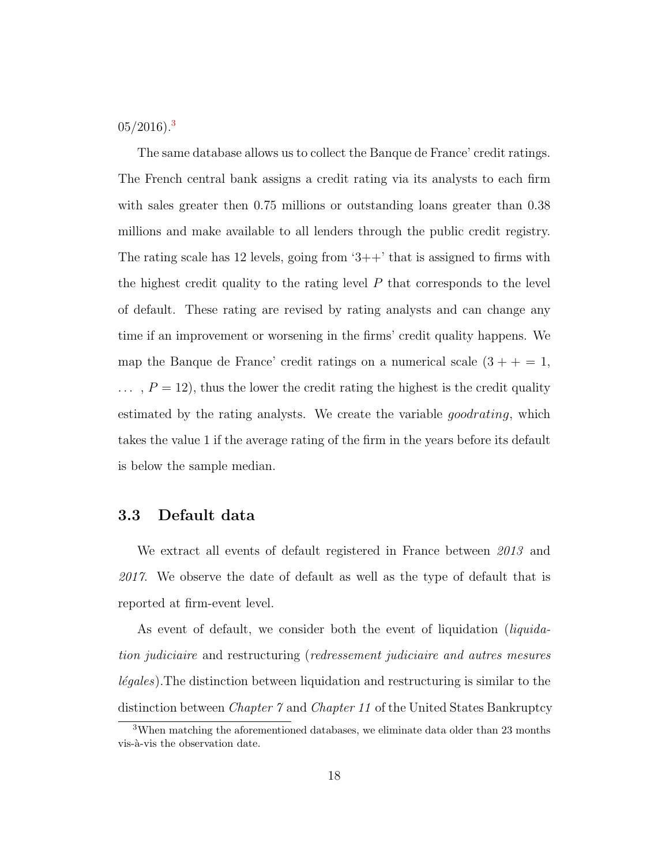$05/2016$ ).<sup>[3](#page-18-0)</sup>

The same database allows us to collect the Banque de France' credit ratings. The French central bank assigns a credit rating via its analysts to each firm with sales greater then 0.75 millions or outstanding loans greater than 0.38 millions and make available to all lenders through the public credit registry. The rating scale has 12 levels, going from  $3++$  that is assigned to firms with the highest credit quality to the rating level  $P$  that corresponds to the level of default. These rating are revised by rating analysts and can change any time if an improvement or worsening in the firms' credit quality happens. We map the Banque de France' credit ratings on a numerical scale  $(3 + + = 1,$  $\ldots$ ,  $P = 12$ , thus the lower the credit rating the highest is the credit quality estimated by the rating analysts. We create the variable *goodrating*, which takes the value 1 if the average rating of the firm in the years before its default is below the sample median.

## 3.3 Default data

We extract all events of default registered in France between 2013 and 2017. We observe the date of default as well as the type of default that is reported at firm-event level.

As event of default, we consider both the event of liquidation (*liquida*tion judiciaire and restructuring (redressement judiciaire and autres mesures  $l{\'e}gales$ ). The distinction between liquidation and restructuring is similar to the distinction between *Chapter 7* and *Chapter 11* of the United States Bankruptcy

<span id="page-18-0"></span><sup>3</sup>When matching the aforementioned databases, we eliminate data older than 23 months vis-à-vis the observation date.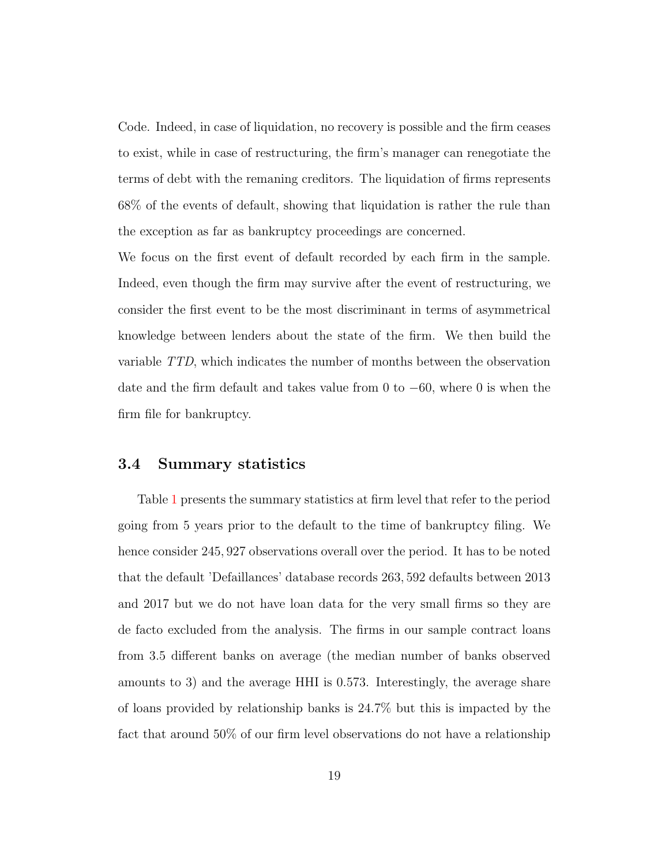Code. Indeed, in case of liquidation, no recovery is possible and the firm ceases to exist, while in case of restructuring, the firm's manager can renegotiate the terms of debt with the remaning creditors. The liquidation of firms represents 68% of the events of default, showing that liquidation is rather the rule than the exception as far as bankruptcy proceedings are concerned.

We focus on the first event of default recorded by each firm in the sample. Indeed, even though the firm may survive after the event of restructuring, we consider the first event to be the most discriminant in terms of asymmetrical knowledge between lenders about the state of the firm. We then build the variable TTD, which indicates the number of months between the observation date and the firm default and takes value from 0 to  $-60$ , where 0 is when the firm file for bankruptcy.

#### 3.4 Summary statistics

Table [1](#page-45-0) presents the summary statistics at firm level that refer to the period going from 5 years prior to the default to the time of bankruptcy filing. We hence consider 245, 927 observations overall over the period. It has to be noted that the default 'Defaillances' database records 263, 592 defaults between 2013 and 2017 but we do not have loan data for the very small firms so they are de facto excluded from the analysis. The firms in our sample contract loans from 3.5 different banks on average (the median number of banks observed amounts to 3) and the average HHI is 0.573. Interestingly, the average share of loans provided by relationship banks is 24.7% but this is impacted by the fact that around 50% of our firm level observations do not have a relationship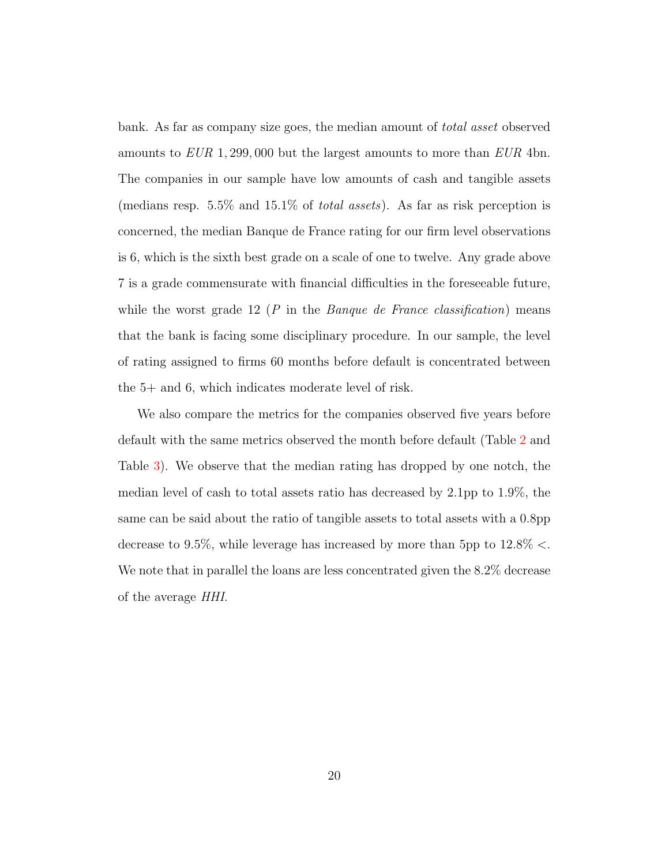bank. As far as company size goes, the median amount of total asset observed amounts to  $EUR$  1, 299, 000 but the largest amounts to more than  $EUR$  4bn. The companies in our sample have low amounts of cash and tangible assets (medians resp. 5.5% and 15.1% of total assets). As far as risk perception is concerned, the median Banque de France rating for our firm level observations is 6, which is the sixth best grade on a scale of one to twelve. Any grade above 7 is a grade commensurate with financial difficulties in the foreseeable future, while the worst grade 12 ( $P$  in the *Banque de France classification*) means that the bank is facing some disciplinary procedure. In our sample, the level of rating assigned to firms 60 months before default is concentrated between the 5+ and 6, which indicates moderate level of risk.

We also compare the metrics for the companies observed five years before default with the same metrics observed the month before default (Table [2](#page-46-0) and Table [3\)](#page-46-1). We observe that the median rating has dropped by one notch, the median level of cash to total assets ratio has decreased by 2.1pp to 1.9%, the same can be said about the ratio of tangible assets to total assets with a 0.8pp decrease to 9.5%, while leverage has increased by more than 5pp to  $12.8\% <$ . We note that in parallel the loans are less concentrated given the  $8.2\%$  decrease of the average HHI.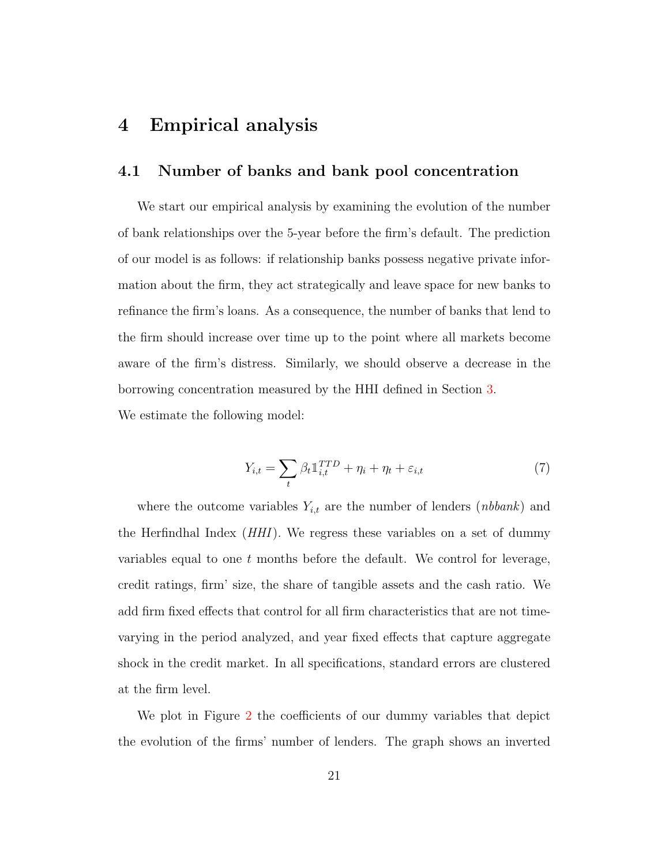# <span id="page-21-0"></span>4 Empirical analysis

## <span id="page-21-2"></span>4.1 Number of banks and bank pool concentration

We start our empirical analysis by examining the evolution of the number of bank relationships over the 5-year before the firm's default. The prediction of our model is as follows: if relationship banks possess negative private information about the firm, they act strategically and leave space for new banks to refinance the firm's loans. As a consequence, the number of banks that lend to the firm should increase over time up to the point where all markets become aware of the firm's distress. Similarly, we should observe a decrease in the borrowing concentration measured by the HHI defined in Section [3.](#page-15-0) We estimate the following model:

> <span id="page-21-1"></span> $Y_{i,t} = \sum$  $\beta_t \mathbb{1}_{i,t}^{TTD} + \eta_i + \eta_t + \varepsilon_{i,t}$  (7)

where the outcome variables  $Y_{i,t}$  are the number of lenders (*nbbank*) and the Herfindhal Index (HHI). We regress these variables on a set of dummy variables equal to one  $t$  months before the default. We control for leverage, credit ratings, firm' size, the share of tangible assets and the cash ratio. We add firm fixed effects that control for all firm characteristics that are not timevarying in the period analyzed, and year fixed effects that capture aggregate shock in the credit market. In all specifications, standard errors are clustered at the firm level.

t

We plot in Figure [2](#page-40-0) the coefficients of our dummy variables that depict the evolution of the firms' number of lenders. The graph shows an inverted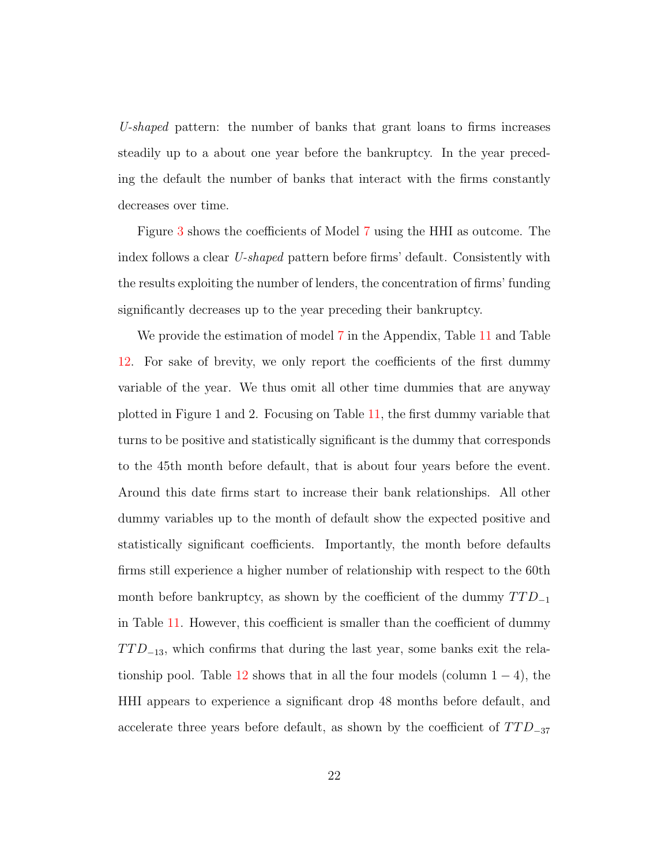U-shaped pattern: the number of banks that grant loans to firms increases steadily up to a about one year before the bankruptcy. In the year preceding the default the number of banks that interact with the firms constantly decreases over time.

Figure [3](#page-41-0) shows the coefficients of Model [7](#page-21-1) using the HHI as outcome. The index follows a clear U-shaped pattern before firms' default. Consistently with the results exploiting the number of lenders, the concentration of firms' funding significantly decreases up to the year preceding their bankruptcy.

We provide the estimation of model [7](#page-21-1) in the Appendix, Table [11](#page-56-0) and Table [12.](#page-57-0) For sake of brevity, we only report the coefficients of the first dummy variable of the year. We thus omit all other time dummies that are anyway plotted in Figure 1 and 2. Focusing on Table [11,](#page-56-0) the first dummy variable that turns to be positive and statistically significant is the dummy that corresponds to the 45th month before default, that is about four years before the event. Around this date firms start to increase their bank relationships. All other dummy variables up to the month of default show the expected positive and statistically significant coefficients. Importantly, the month before defaults firms still experience a higher number of relationship with respect to the 60th month before bankruptcy, as shown by the coefficient of the dummy  $TTD_{-1}$ in Table [11.](#page-56-0) However, this coefficient is smaller than the coefficient of dummy  $TTD_{-13}$ , which confirms that during the last year, some banks exit the rela-tionship pool. Table [12](#page-57-0) shows that in all the four models (column  $1 - 4$ ), the HHI appears to experience a significant drop 48 months before default, and accelerate three years before default, as shown by the coefficient of  $TTD_{-37}$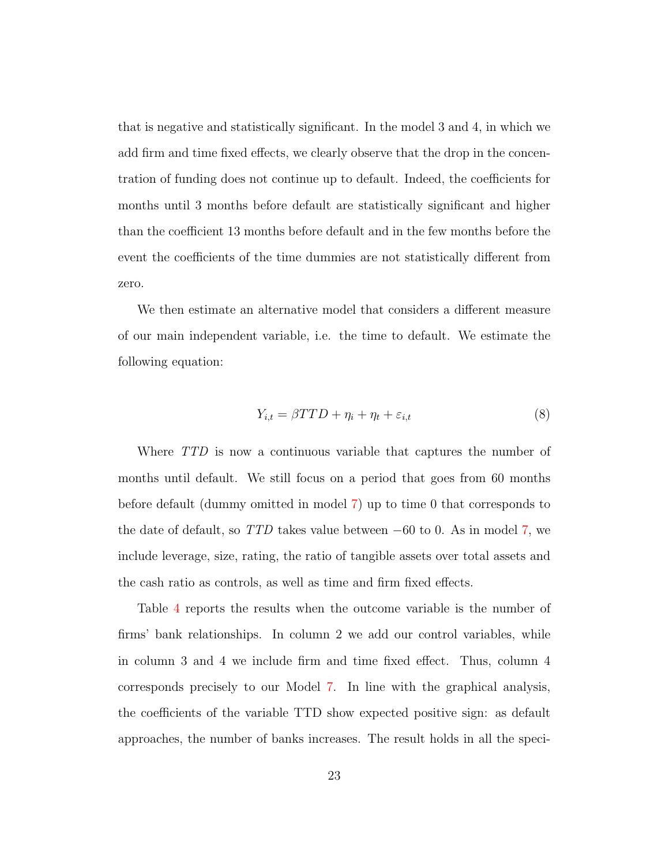that is negative and statistically significant. In the model 3 and 4, in which we add firm and time fixed effects, we clearly observe that the drop in the concentration of funding does not continue up to default. Indeed, the coefficients for months until 3 months before default are statistically significant and higher than the coefficient 13 months before default and in the few months before the event the coefficients of the time dummies are not statistically different from zero.

We then estimate an alternative model that considers a different measure of our main independent variable, i.e. the time to default. We estimate the following equation:

<span id="page-23-0"></span>
$$
Y_{i,t} = \beta T T D + \eta_i + \eta_t + \varepsilon_{i,t} \tag{8}
$$

Where TTD is now a continuous variable that captures the number of months until default. We still focus on a period that goes from 60 months before default (dummy omitted in model [7\)](#page-21-1) up to time 0 that corresponds to the date of default, so  $TTD$  takes value between  $-60$  to 0. As in model [7,](#page-21-1) we include leverage, size, rating, the ratio of tangible assets over total assets and the cash ratio as controls, as well as time and firm fixed effects.

Table [4](#page-47-0) reports the results when the outcome variable is the number of firms' bank relationships. In column 2 we add our control variables, while in column 3 and 4 we include firm and time fixed effect. Thus, column 4 corresponds precisely to our Model [7.](#page-21-1) In line with the graphical analysis, the coefficients of the variable TTD show expected positive sign: as default approaches, the number of banks increases. The result holds in all the speci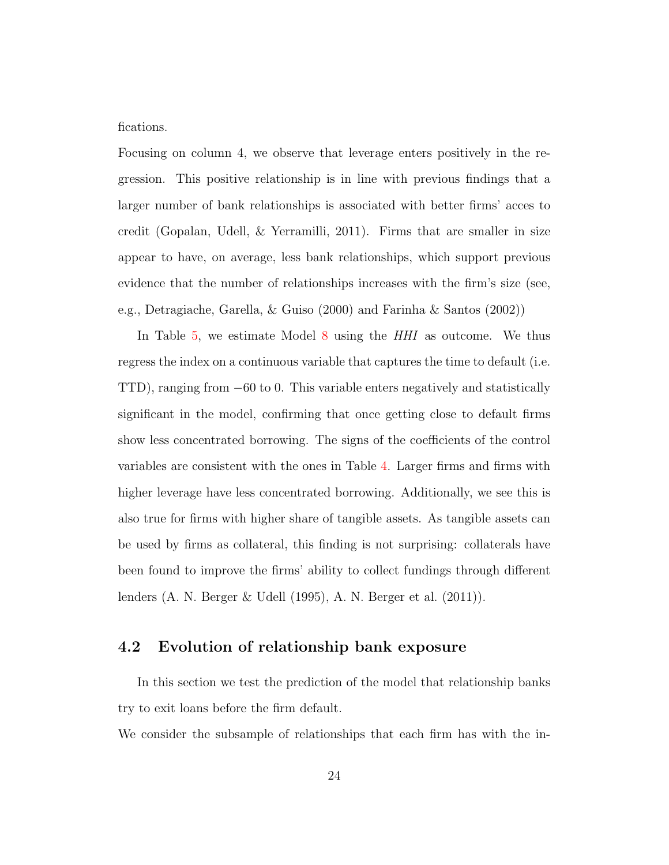fications.

Focusing on column 4, we observe that leverage enters positively in the regression. This positive relationship is in line with previous findings that a larger number of bank relationships is associated with better firms' acces to credit [\(Gopalan, Udell, & Yerramilli,](#page-36-6) [2011\)](#page-36-6). Firms that are smaller in size appear to have, on average, less bank relationships, which support previous evidence that the number of relationships increases with the firm's size (see, e.g., [Detragiache, Garella, & Guiso](#page-35-6) [\(2000\)](#page-35-6) and [Farinha & Santos](#page-35-7) [\(2002\)](#page-35-7))

In Table [5,](#page-48-0) we estimate Model [8](#page-23-0) using the HHI as outcome. We thus regress the index on a continuous variable that captures the time to default (i.e. TTD), ranging from −60 to 0. This variable enters negatively and statistically significant in the model, confirming that once getting close to default firms show less concentrated borrowing. The signs of the coefficients of the control variables are consistent with the ones in Table [4.](#page-47-0) Larger firms and firms with higher leverage have less concentrated borrowing. Additionally, we see this is also true for firms with higher share of tangible assets. As tangible assets can be used by firms as collateral, this finding is not surprising: collaterals have been found to improve the firms' ability to collect fundings through different lenders [\(A. N. Berger & Udell](#page-34-2) [\(1995\)](#page-34-2), [A. N. Berger et al.](#page-33-2) [\(2011\)](#page-33-2)).

## 4.2 Evolution of relationship bank exposure

In this section we test the prediction of the model that relationship banks try to exit loans before the firm default.

We consider the subsample of relationships that each firm has with the in-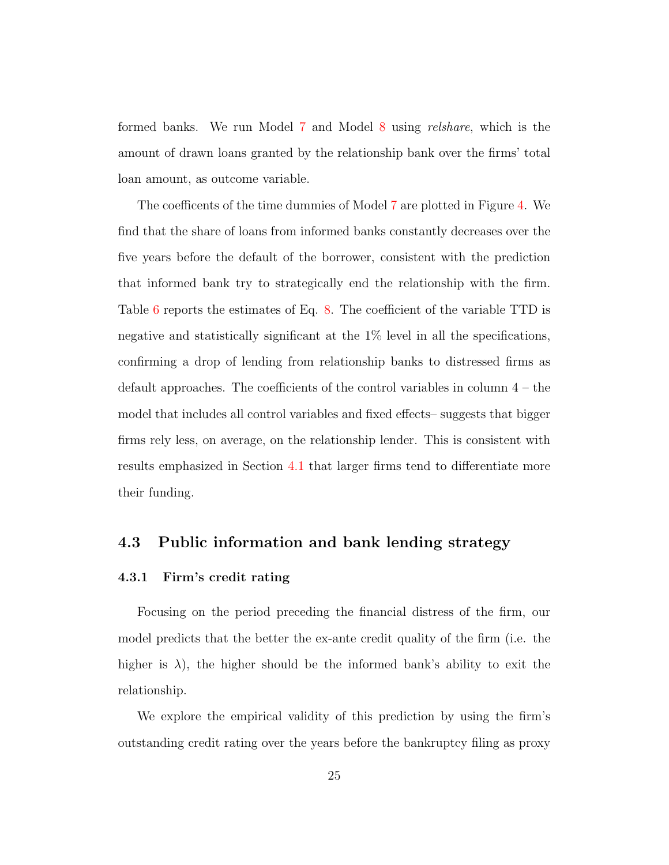formed banks. We run Model [7](#page-21-1) and Model [8](#page-23-0) using relshare, which is the amount of drawn loans granted by the relationship bank over the firms' total loan amount, as outcome variable.

The coefficents of the time dummies of Model [7](#page-21-1) are plotted in Figure [4.](#page-42-0) We find that the share of loans from informed banks constantly decreases over the five years before the default of the borrower, consistent with the prediction that informed bank try to strategically end the relationship with the firm. Table [6](#page-49-0) reports the estimates of Eq. [8.](#page-23-0) The coefficient of the variable TTD is negative and statistically significant at the 1% level in all the specifications, confirming a drop of lending from relationship banks to distressed firms as default approaches. The coefficients of the control variables in column 4 – the model that includes all control variables and fixed effects– suggests that bigger firms rely less, on average, on the relationship lender. This is consistent with results emphasized in Section [4.1](#page-21-2) that larger firms tend to differentiate more their funding.

## 4.3 Public information and bank lending strategy

#### 4.3.1 Firm's credit rating

Focusing on the period preceding the financial distress of the firm, our model predicts that the better the ex-ante credit quality of the firm (i.e. the higher is  $\lambda$ ), the higher should be the informed bank's ability to exit the relationship.

We explore the empirical validity of this prediction by using the firm's outstanding credit rating over the years before the bankruptcy filing as proxy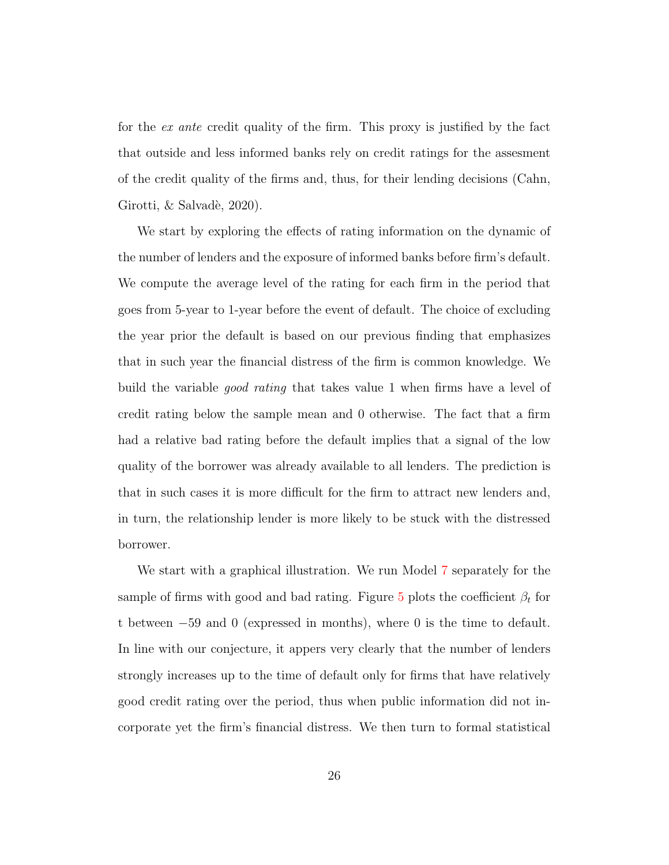for the ex ante credit quality of the firm. This proxy is justified by the fact that outside and less informed banks rely on credit ratings for the assesment of the credit quality of the firms and, thus, for their lending decisions [\(Cahn,](#page-34-7) Girotti,  $&$  Salvadè, [2020\)](#page-34-7).

We start by exploring the effects of rating information on the dynamic of the number of lenders and the exposure of informed banks before firm's default. We compute the average level of the rating for each firm in the period that goes from 5-year to 1-year before the event of default. The choice of excluding the year prior the default is based on our previous finding that emphasizes that in such year the financial distress of the firm is common knowledge. We build the variable *good rating* that takes value 1 when firms have a level of credit rating below the sample mean and 0 otherwise. The fact that a firm had a relative bad rating before the default implies that a signal of the low quality of the borrower was already available to all lenders. The prediction is that in such cases it is more difficult for the firm to attract new lenders and, in turn, the relationship lender is more likely to be stuck with the distressed borrower.

We start with a graphical illustration. We run Model [7](#page-21-1) separately for the sample of firms with good and bad rating. Figure [5](#page-43-0) plots the coefficient  $\beta_t$  for t between −59 and 0 (expressed in months), where 0 is the time to default. In line with our conjecture, it appers very clearly that the number of lenders strongly increases up to the time of default only for firms that have relatively good credit rating over the period, thus when public information did not incorporate yet the firm's financial distress. We then turn to formal statistical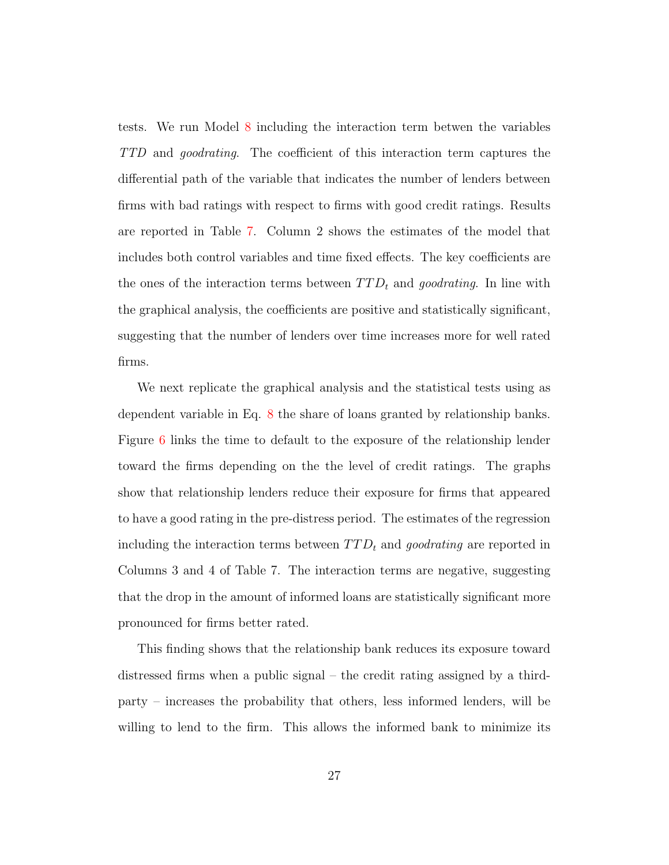tests. We run Model [8](#page-23-0) including the interaction term betwen the variables TTD and goodrating. The coefficient of this interaction term captures the differential path of the variable that indicates the number of lenders between firms with bad ratings with respect to firms with good credit ratings. Results are reported in Table [7.](#page-50-0) Column 2 shows the estimates of the model that includes both control variables and time fixed effects. The key coefficients are the ones of the interaction terms between  $TTD_t$  and goodrating. In line with the graphical analysis, the coefficients are positive and statistically significant, suggesting that the number of lenders over time increases more for well rated firms.

We next replicate the graphical analysis and the statistical tests using as dependent variable in Eq. [8](#page-23-0) the share of loans granted by relationship banks. Figure [6](#page-44-0) links the time to default to the exposure of the relationship lender toward the firms depending on the the level of credit ratings. The graphs show that relationship lenders reduce their exposure for firms that appeared to have a good rating in the pre-distress period. The estimates of the regression including the interaction terms between  $TTD_t$  and goodrating are reported in Columns 3 and 4 of Table 7. The interaction terms are negative, suggesting that the drop in the amount of informed loans are statistically significant more pronounced for firms better rated.

This finding shows that the relationship bank reduces its exposure toward distressed firms when a public signal – the credit rating assigned by a thirdparty – increases the probability that others, less informed lenders, will be willing to lend to the firm. This allows the informed bank to minimize its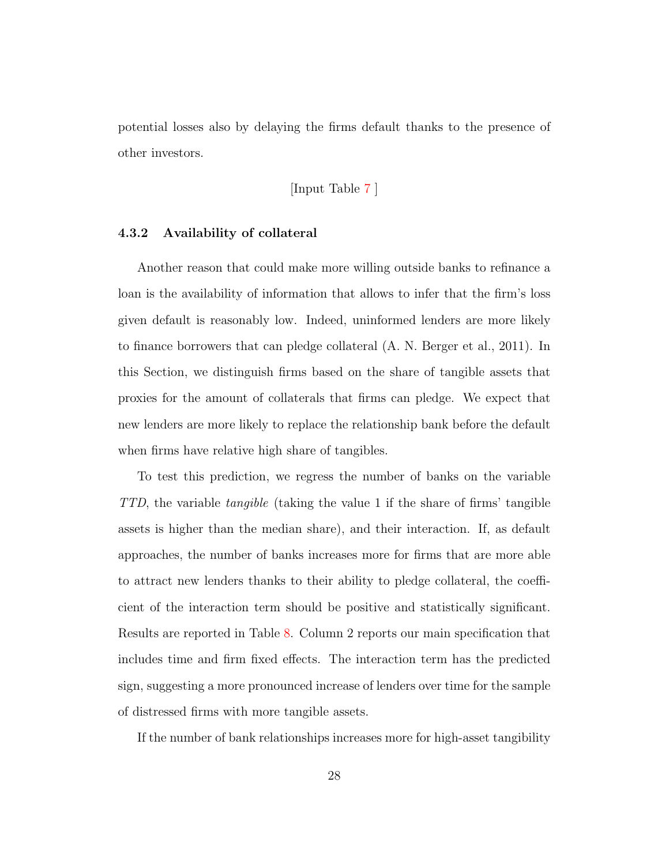potential losses also by delaying the firms default thanks to the presence of other investors.

#### [Input Table [7](#page-50-0) ]

#### 4.3.2 Availability of collateral

Another reason that could make more willing outside banks to refinance a loan is the availability of information that allows to infer that the firm's loss given default is reasonably low. Indeed, uninformed lenders are more likely to finance borrowers that can pledge collateral [\(A. N. Berger et al.,](#page-33-2) [2011\)](#page-33-2). In this Section, we distinguish firms based on the share of tangible assets that proxies for the amount of collaterals that firms can pledge. We expect that new lenders are more likely to replace the relationship bank before the default when firms have relative high share of tangibles.

To test this prediction, we regress the number of banks on the variable TTD, the variable tangible (taking the value 1 if the share of firms' tangible assets is higher than the median share), and their interaction. If, as default approaches, the number of banks increases more for firms that are more able to attract new lenders thanks to their ability to pledge collateral, the coefficient of the interaction term should be positive and statistically significant. Results are reported in Table [8.](#page-51-0) Column 2 reports our main specification that includes time and firm fixed effects. The interaction term has the predicted sign, suggesting a more pronounced increase of lenders over time for the sample of distressed firms with more tangible assets.

If the number of bank relationships increases more for high-asset tangibility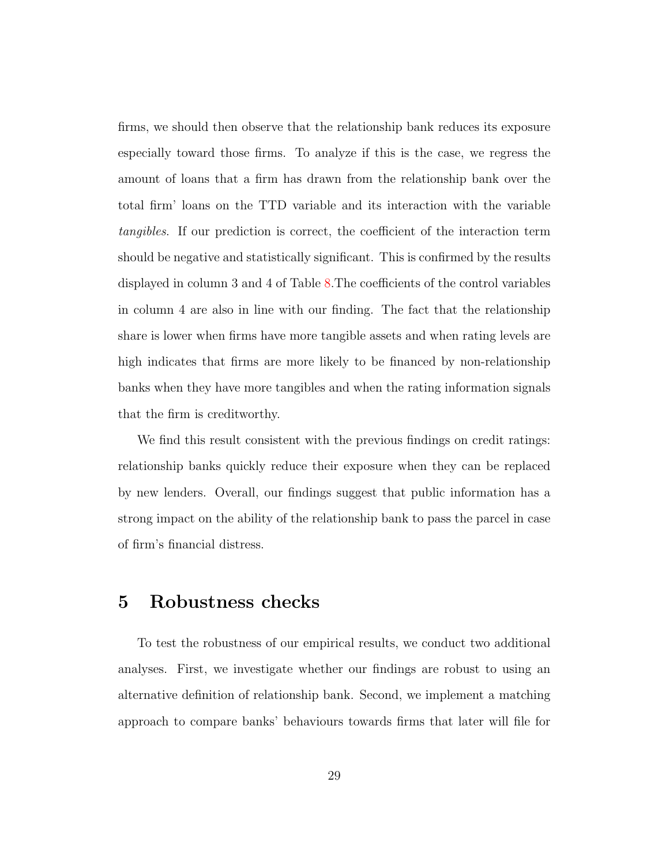firms, we should then observe that the relationship bank reduces its exposure especially toward those firms. To analyze if this is the case, we regress the amount of loans that a firm has drawn from the relationship bank over the total firm' loans on the TTD variable and its interaction with the variable tangibles. If our prediction is correct, the coefficient of the interaction term should be negative and statistically significant. This is confirmed by the results displayed in column 3 and 4 of Table [8.](#page-51-0)The coefficients of the control variables in column 4 are also in line with our finding. The fact that the relationship share is lower when firms have more tangible assets and when rating levels are high indicates that firms are more likely to be financed by non-relationship banks when they have more tangibles and when the rating information signals that the firm is creditworthy.

We find this result consistent with the previous findings on credit ratings: relationship banks quickly reduce their exposure when they can be replaced by new lenders. Overall, our findings suggest that public information has a strong impact on the ability of the relationship bank to pass the parcel in case of firm's financial distress.

# <span id="page-29-0"></span>5 Robustness checks

To test the robustness of our empirical results, we conduct two additional analyses. First, we investigate whether our findings are robust to using an alternative definition of relationship bank. Second, we implement a matching approach to compare banks' behaviours towards firms that later will file for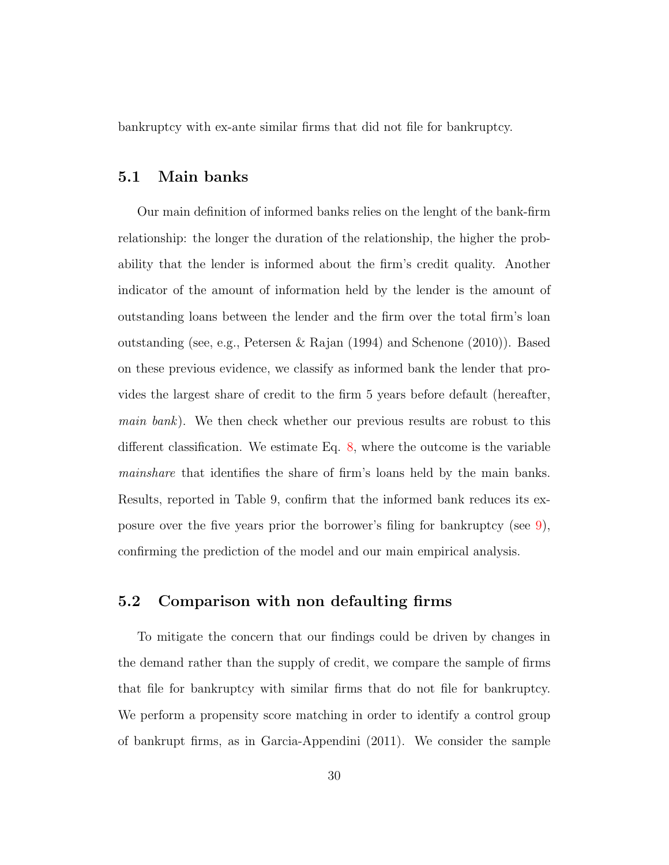bankruptcy with ex-ante similar firms that did not file for bankruptcy.

## 5.1 Main banks

Our main definition of informed banks relies on the lenght of the bank-firm relationship: the longer the duration of the relationship, the higher the probability that the lender is informed about the firm's credit quality. Another indicator of the amount of information held by the lender is the amount of outstanding loans between the lender and the firm over the total firm's loan outstanding (see, e.g., [Petersen & Rajan](#page-37-2) [\(1994\)](#page-37-2) and [Schenone](#page-38-4) [\(2010\)](#page-38-4)). Based on these previous evidence, we classify as informed bank the lender that provides the largest share of credit to the firm 5 years before default (hereafter, main bank). We then check whether our previous results are robust to this different classification. We estimate Eq. [8,](#page-23-0) where the outcome is the variable mainshare that identifies the share of firm's loans held by the main banks. Results, reported in Table 9, confirm that the informed bank reduces its exposure over the five years prior the borrower's filing for bankruptcy (see [9\)](#page-52-0), confirming the prediction of the model and our main empirical analysis.

## 5.2 Comparison with non defaulting firms

To mitigate the concern that our findings could be driven by changes in the demand rather than the supply of credit, we compare the sample of firms that file for bankruptcy with similar firms that do not file for bankruptcy. We perform a propensity score matching in order to identify a control group of bankrupt firms, as in [Garcia-Appendini](#page-36-7) [\(2011\)](#page-36-7). We consider the sample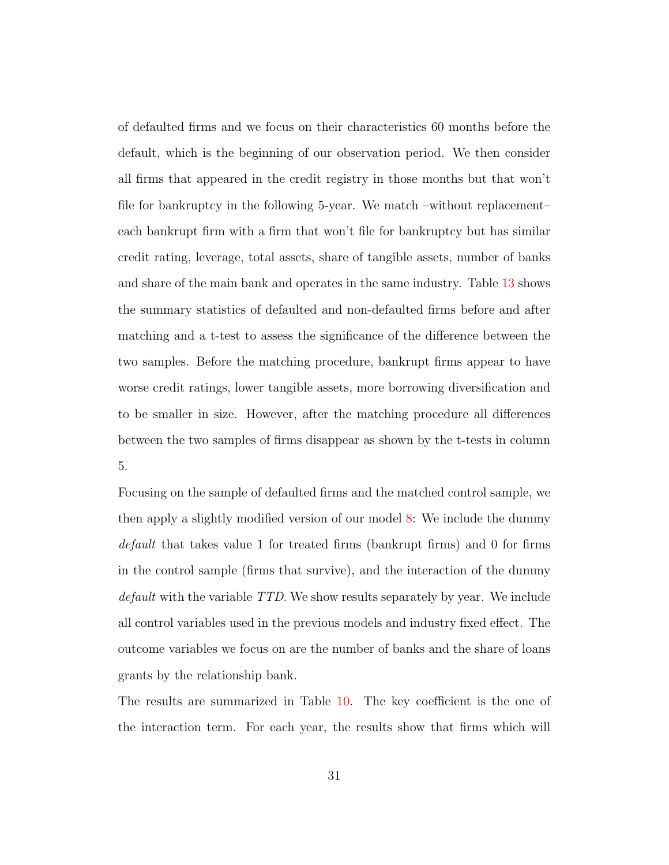of defaulted firms and we focus on their characteristics 60 months before the default, which is the beginning of our observation period. We then consider all firms that appeared in the credit registry in those months but that won't file for bankruptcy in the following 5-year. We match –without replacement– each bankrupt firm with a firm that won't file for bankruptcy but has similar credit rating, leverage, total assets, share of tangible assets, number of banks and share of the main bank and operates in the same industry. Table [13](#page-58-0) shows the summary statistics of defaulted and non-defaulted firms before and after matching and a t-test to assess the significance of the difference between the two samples. Before the matching procedure, bankrupt firms appear to have worse credit ratings, lower tangible assets, more borrowing diversification and to be smaller in size. However, after the matching procedure all differences between the two samples of firms disappear as shown by the t-tests in column 5.

Focusing on the sample of defaulted firms and the matched control sample, we then apply a slightly modified version of our model [8:](#page-23-0) We include the dummy default that takes value 1 for treated firms (bankrupt firms) and 0 for firms in the control sample (firms that survive), and the interaction of the dummy default with the variable TTD. We show results separately by year. We include all control variables used in the previous models and industry fixed effect. The outcome variables we focus on are the number of banks and the share of loans grants by the relationship bank.

The results are summarized in Table [10.](#page-53-0) The key coefficient is the one of the interaction term. For each year, the results show that firms which will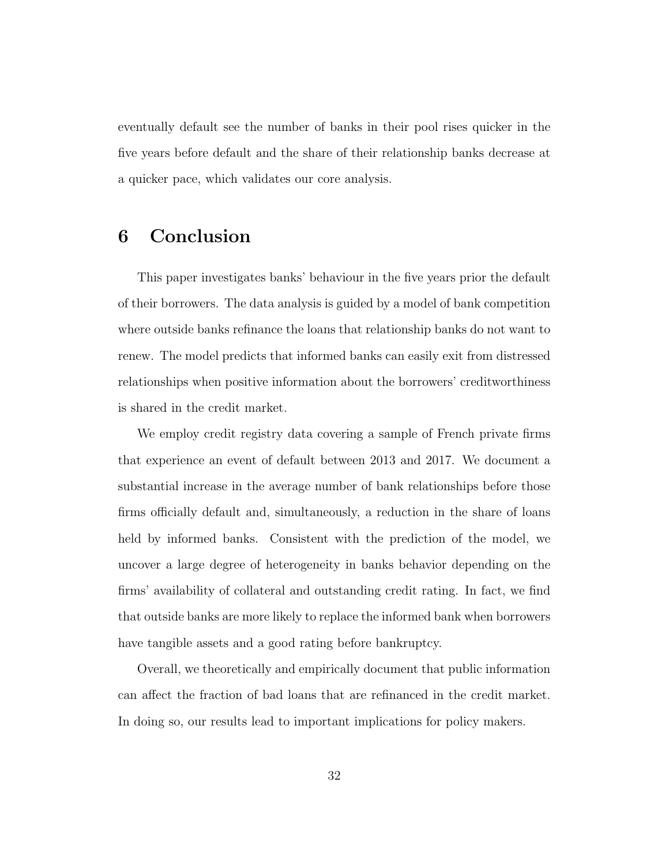eventually default see the number of banks in their pool rises quicker in the five years before default and the share of their relationship banks decrease at a quicker pace, which validates our core analysis.

# <span id="page-32-0"></span>6 Conclusion

This paper investigates banks' behaviour in the five years prior the default of their borrowers. The data analysis is guided by a model of bank competition where outside banks refinance the loans that relationship banks do not want to renew. The model predicts that informed banks can easily exit from distressed relationships when positive information about the borrowers' creditworthiness is shared in the credit market.

We employ credit registry data covering a sample of French private firms that experience an event of default between 2013 and 2017. We document a substantial increase in the average number of bank relationships before those firms officially default and, simultaneously, a reduction in the share of loans held by informed banks. Consistent with the prediction of the model, we uncover a large degree of heterogeneity in banks behavior depending on the firms' availability of collateral and outstanding credit rating. In fact, we find that outside banks are more likely to replace the informed bank when borrowers have tangible assets and a good rating before bankruptcy.

Overall, we theoretically and empirically document that public information can affect the fraction of bad loans that are refinanced in the credit market. In doing so, our results lead to important implications for policy makers.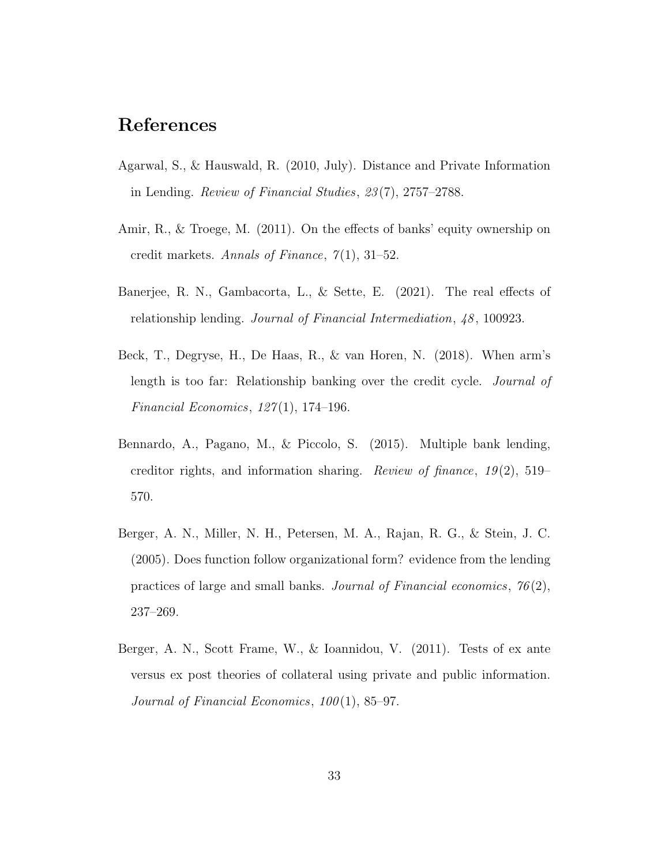# References

- <span id="page-33-4"></span>Agarwal, S., & Hauswald, R. (2010, July). Distance and Private Information in Lending. Review of Financial Studies, 23 (7), 2757–2788.
- <span id="page-33-6"></span>Amir, R., & Troege, M. (2011). On the effects of banks' equity ownership on credit markets. Annals of Finance,  $7(1)$ , 31–52.
- <span id="page-33-1"></span>Banerjee, R. N., Gambacorta, L., & Sette, E. (2021). The real effects of relationship lending. *Journal of Financial Intermediation*,  $48$ , 100923.
- <span id="page-33-0"></span>Beck, T., Degryse, H., De Haas, R., & van Horen, N. (2018). When arm's length is too far: Relationship banking over the credit cycle. Journal of Financial Economics,  $127(1)$ , 174-196.
- <span id="page-33-5"></span>Bennardo, A., Pagano, M., & Piccolo, S. (2015). Multiple bank lending, creditor rights, and information sharing. Review of finance,  $19(2)$ , 519– 570.
- <span id="page-33-3"></span>Berger, A. N., Miller, N. H., Petersen, M. A., Rajan, R. G., & Stein, J. C. (2005). Does function follow organizational form? evidence from the lending practices of large and small banks. Journal of Financial economics,  $76(2)$ , 237–269.
- <span id="page-33-2"></span>Berger, A. N., Scott Frame, W., & Ioannidou, V. (2011). Tests of ex ante versus ex post theories of collateral using private and public information. Journal of Financial Economics,  $100(1)$ , 85–97.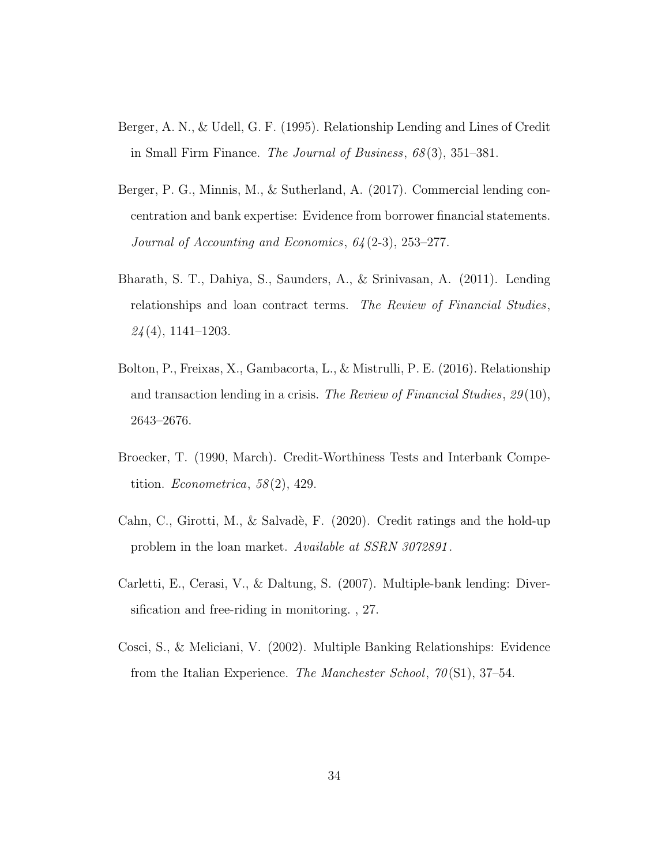- <span id="page-34-2"></span>Berger, A. N., & Udell, G. F. (1995). Relationship Lending and Lines of Credit in Small Firm Finance. The Journal of Business, 68 (3), 351–381.
- <span id="page-34-0"></span>Berger, P. G., Minnis, M., & Sutherland, A. (2017). Commercial lending concentration and bank expertise: Evidence from borrower financial statements. Journal of Accounting and Economics, 64 (2-3), 253–277.
- <span id="page-34-3"></span>Bharath, S. T., Dahiya, S., Saunders, A., & Srinivasan, A. (2011). Lending relationships and loan contract terms. The Review of Financial Studies,  $24(4)$ , 1141–1203.
- <span id="page-34-1"></span>Bolton, P., Freixas, X., Gambacorta, L., & Mistrulli, P. E. (2016). Relationship and transaction lending in a crisis. The Review of Financial Studies, 29(10), 2643–2676.
- <span id="page-34-6"></span>Broecker, T. (1990, March). Credit-Worthiness Tests and Interbank Competition. *Econometrica*,  $58(2)$ , 429.
- <span id="page-34-7"></span>Cahn, C., Girotti, M., & Salvadè, F. (2020). Credit ratings and the hold-up problem in the loan market. Available at SSRN 3072891 .
- <span id="page-34-4"></span>Carletti, E., Cerasi, V., & Daltung, S. (2007). Multiple-bank lending: Diversification and free-riding in monitoring. , 27.
- <span id="page-34-5"></span>Cosci, S., & Meliciani, V. (2002). Multiple Banking Relationships: Evidence from the Italian Experience. The Manchester School,  $70(S1)$ ,  $37-54$ .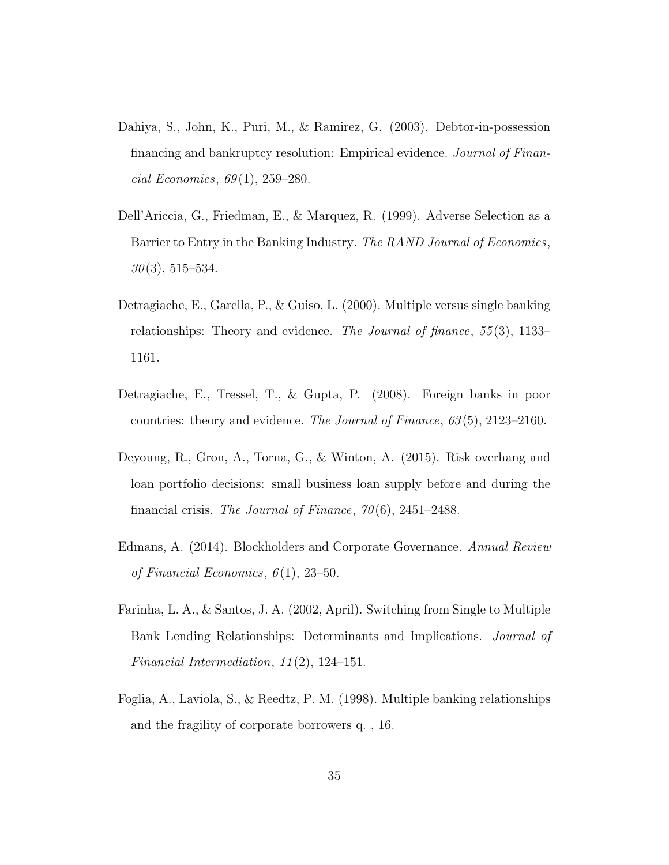- <span id="page-35-4"></span>Dahiya, S., John, K., Puri, M., & Ramirez, G. (2003). Debtor-in-possession financing and bankruptcy resolution: Empirical evidence. Journal of Finan $cial\ Economics, 69(1), 259-280.$
- <span id="page-35-5"></span>Dell'Ariccia, G., Friedman, E., & Marquez, R. (1999). Adverse Selection as a Barrier to Entry in the Banking Industry. The RAND Journal of Economics,  $30(3), 515-534.$
- <span id="page-35-6"></span>Detragiache, E., Garella, P., & Guiso, L. (2000). Multiple versus single banking relationships: Theory and evidence. The Journal of finance, 55 (3), 1133– 1161.
- <span id="page-35-1"></span>Detragiache, E., Tressel, T., & Gupta, P. (2008). Foreign banks in poor countries: theory and evidence. The Journal of Finance,  $63(5)$ ,  $2123-2160$ .
- <span id="page-35-0"></span>Deyoung, R., Gron, A., Torna, G., & Winton, A. (2015). Risk overhang and loan portfolio decisions: small business loan supply before and during the financial crisis. The Journal of Finance,  $70(6)$ , 2451–2488.
- <span id="page-35-3"></span>Edmans, A. (2014). Blockholders and Corporate Governance. Annual Review of Financial Economics,  $6(1)$ , 23–50.
- <span id="page-35-7"></span>Farinha, L. A., & Santos, J. A. (2002, April). Switching from Single to Multiple Bank Lending Relationships: Determinants and Implications. Journal of Financial Intermediation, 11 (2), 124–151.
- <span id="page-35-2"></span>Foglia, A., Laviola, S., & Reedtz, P. M. (1998). Multiple banking relationships and the fragility of corporate borrowers q. , 16.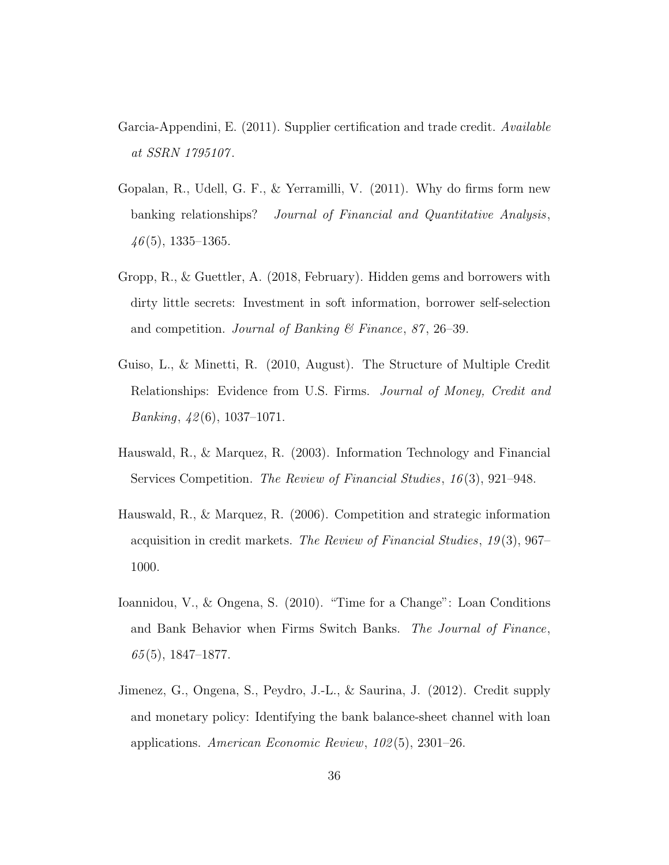- <span id="page-36-7"></span>Garcia-Appendini, E. (2011). Supplier certification and trade credit. Available at SSRN 1795107 .
- <span id="page-36-6"></span>Gopalan, R., Udell, G. F., & Yerramilli, V. (2011). Why do firms form new banking relationships? Journal of Financial and Quantitative Analysis,  $46(5)$ , 1335–1365.
- <span id="page-36-4"></span>Gropp, R., & Guettler, A. (2018, February). Hidden gems and borrowers with dirty little secrets: Investment in soft information, borrower self-selection and competition. *Journal of Banking*  $\&$  Finance, 87, 26–39.
- <span id="page-36-3"></span>Guiso, L., & Minetti, R. (2010, August). The Structure of Multiple Credit Relationships: Evidence from U.S. Firms. Journal of Money, Credit and *Banking*,  $\frac{42(6)}{1037-1071}$ .
- <span id="page-36-5"></span>Hauswald, R., & Marquez, R. (2003). Information Technology and Financial Services Competition. The Review of Financial Studies, 16 (3), 921–948.
- <span id="page-36-2"></span>Hauswald, R., & Marquez, R. (2006). Competition and strategic information acquisition in credit markets. The Review of Financial Studies, 19 (3), 967– 1000.
- <span id="page-36-0"></span>Ioannidou, V., & Ongena, S. (2010). "Time for a Change": Loan Conditions and Bank Behavior when Firms Switch Banks. The Journal of Finance,  $65(5)$ , 1847–1877.
- <span id="page-36-1"></span>Jimenez, G., Ongena, S., Peydro, J.-L., & Saurina, J. (2012). Credit supply and monetary policy: Identifying the bank balance-sheet channel with loan applications. American Economic Review, 102 (5), 2301–26.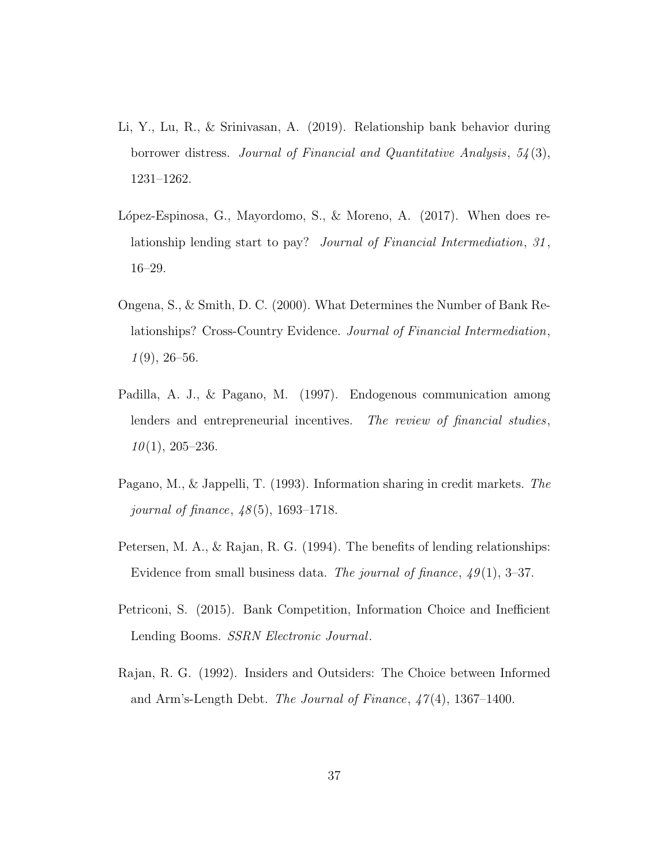- <span id="page-37-0"></span>Li, Y., Lu, R., & Srinivasan, A. (2019). Relationship bank behavior during borrower distress. Journal of Financial and Quantitative Analysis, 54 (3), 1231–1262.
- <span id="page-37-7"></span>López-Espinosa, G., Mayordomo, S., & Moreno, A.  $(2017)$ . When does relationship lending start to pay? Journal of Financial Intermediation, 31, 16–29.
- <span id="page-37-4"></span>Ongena, S., & Smith, D. C. (2000). What Determines the Number of Bank Relationships? Cross-Country Evidence. Journal of Financial Intermediation,  $1(9)$ , 26–56.
- <span id="page-37-6"></span>Padilla, A. J., & Pagano, M. (1997). Endogenous communication among lenders and entrepreneurial incentives. The review of financial studies,  $10(1), 205-236.$
- <span id="page-37-5"></span>Pagano, M., & Jappelli, T. (1993). Information sharing in credit markets. The journal of finance,  $48(5)$ , 1693–1718.
- <span id="page-37-2"></span>Petersen, M. A., & Rajan, R. G. (1994). The benefits of lending relationships: Evidence from small business data. The journal of finance,  $49(1)$ , 3–37.
- <span id="page-37-3"></span>Petriconi, S. (2015). Bank Competition, Information Choice and Inefficient Lending Booms. SSRN Electronic Journal.
- <span id="page-37-1"></span>Rajan, R. G. (1992). Insiders and Outsiders: The Choice between Informed and Arm's-Length Debt. The Journal of Finance,  $47(4)$ , 1367–1400.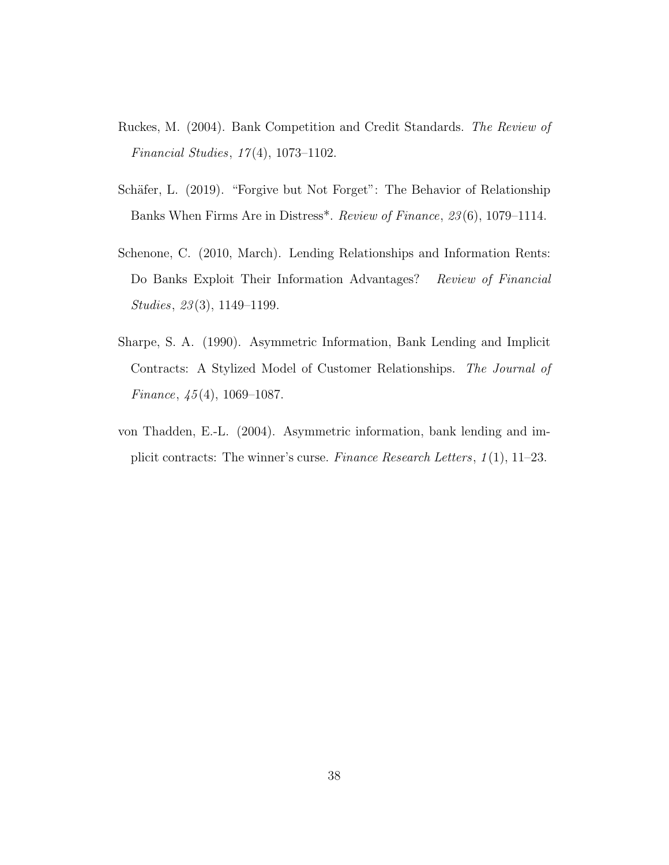- <span id="page-38-3"></span>Ruckes, M. (2004). Bank Competition and Credit Standards. The Review of Financial Studies, 17 (4), 1073–1102.
- <span id="page-38-0"></span>Schäfer, L. (2019). "Forgive but Not Forget": The Behavior of Relationship Banks When Firms Are in Distress\*. Review of Finance, 23 (6), 1079–1114.
- <span id="page-38-4"></span>Schenone, C. (2010, March). Lending Relationships and Information Rents: Do Banks Exploit Their Information Advantages? Review of Financial Studies, 23 (3), 1149–1199.
- <span id="page-38-1"></span>Sharpe, S. A. (1990). Asymmetric Information, Bank Lending and Implicit Contracts: A Stylized Model of Customer Relationships. The Journal of Finance,  $\frac{45(4)}{1069-1087}$ .
- <span id="page-38-2"></span>von Thadden, E.-L. (2004). Asymmetric information, bank lending and implicit contracts: The winner's curse. Finance Research Letters, 1 (1), 11–23.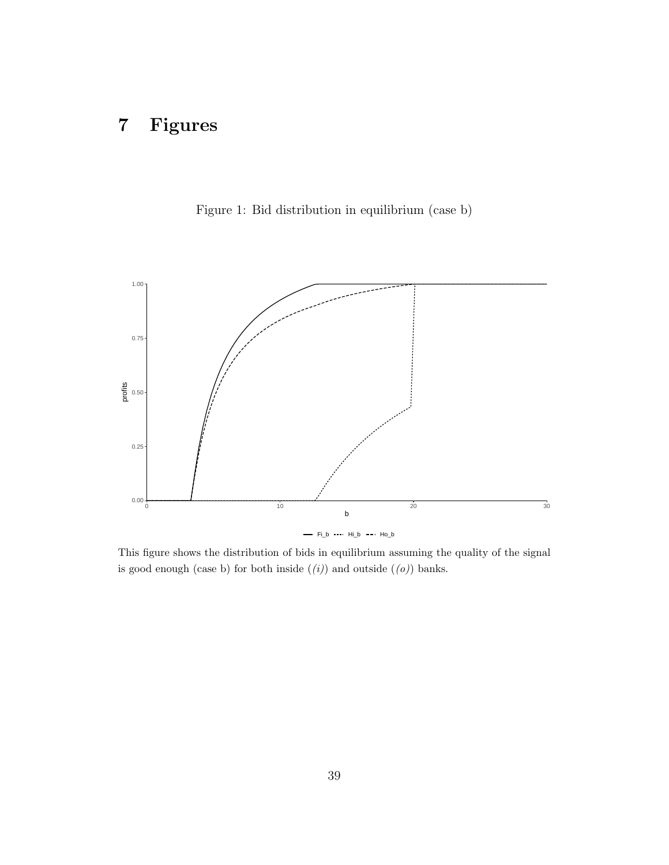# 7 Figures

<span id="page-39-0"></span>



This figure shows the distribution of bids in equilibrium assuming the quality of the signal is good enough (case b) for both inside  $((i))$  and outside  $((o))$  banks.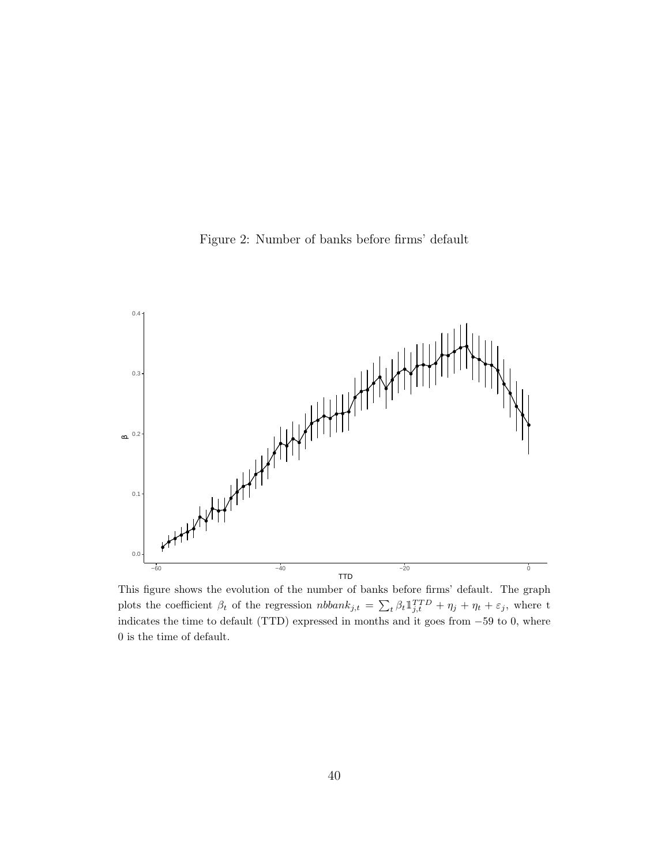Figure 2: Number of banks before firms' default

<span id="page-40-0"></span>

This figure shows the evolution of the number of banks before firms' default. The graph plots the coefficient  $\beta_t$  of the regression  $nbbank_{j,t} = \sum_{t} \beta_t \mathbb{1}_{j,t}^{TTD} + \eta_j + \eta_t + \varepsilon_j$ , where t indicates the time to default (TTD) expressed in months and it goes from  $-59$  to 0, where 0 is the time of default.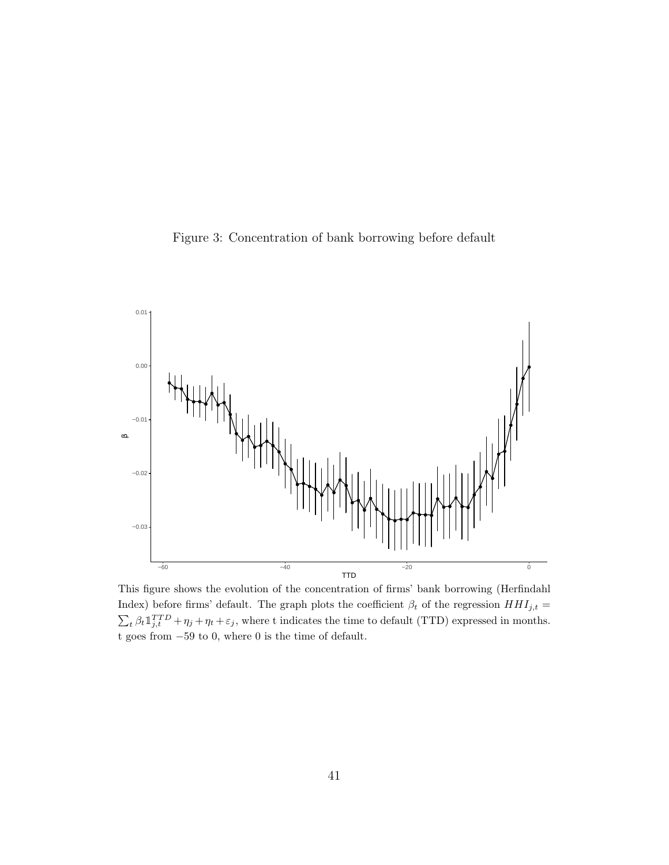<span id="page-41-0"></span>



This figure shows the evolution of the concentration of firms' bank borrowing (Herfindahl Index) before firms' default. The graph plots the coefficient  $\beta_t$  of the regression  $HHI_{j,t}$  =  $\sum_{t} \beta_t \mathbb{1}_{j,t}^{TTD} + \eta_j + \eta_t + \varepsilon_j$ , where t indicates the time to default (TTD) expressed in months. t goes from −59 to 0, where 0 is the time of default.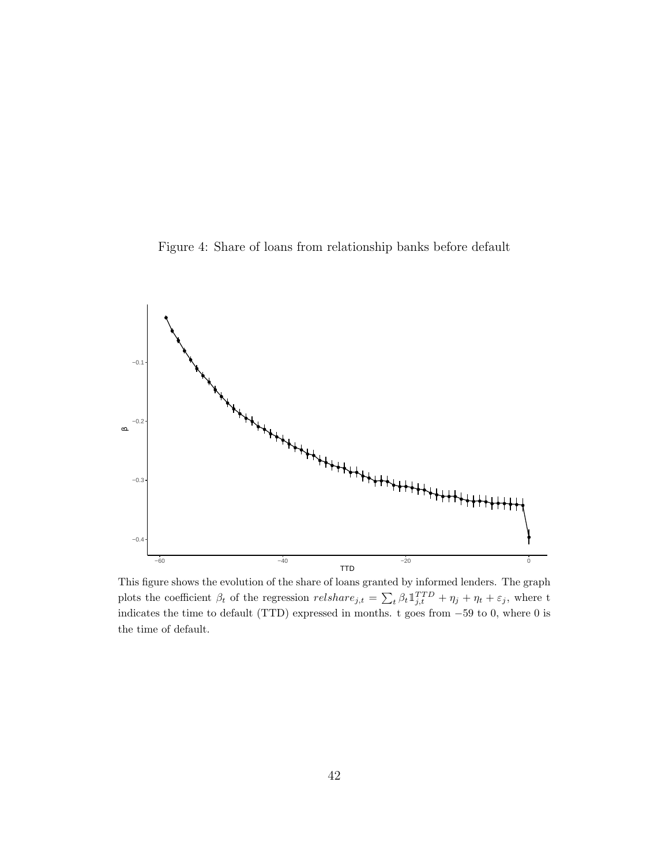<span id="page-42-0"></span>Figure 4: Share of loans from relationship banks before default



This figure shows the evolution of the share of loans granted by informed lenders. The graph plots the coefficient  $\beta_t$  of the regression  $relshare_{j,t} = \sum_t \beta_t \mathbb{1}_{j,t}^{TTD} + \eta_j + \eta_t + \varepsilon_j$ , where t indicates the time to default (TTD) expressed in months. t goes from −59 to 0, where 0 is the time of default.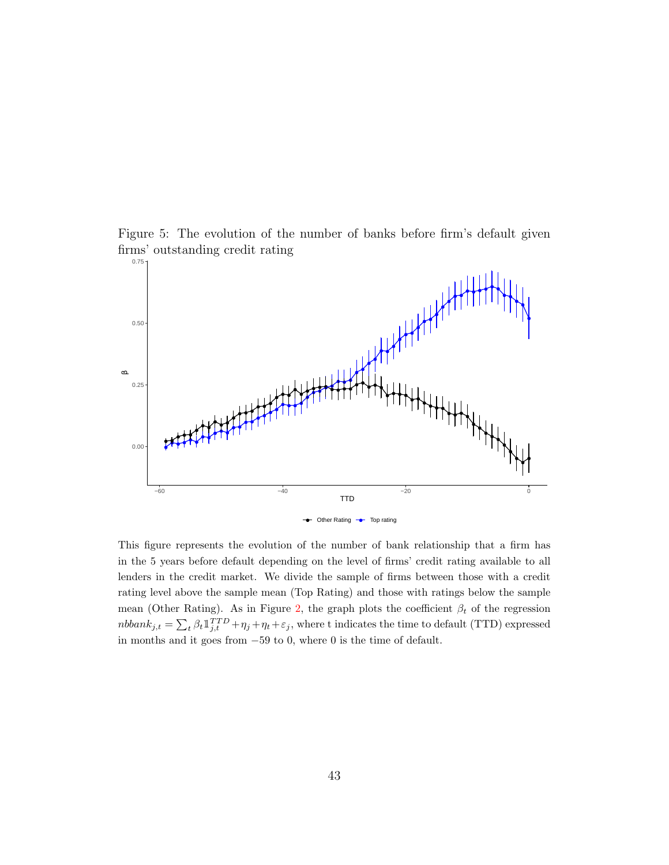<span id="page-43-0"></span>



This figure represents the evolution of the number of bank relationship that a firm has in the 5 years before default depending on the level of firms' credit rating available to all lenders in the credit market. We divide the sample of firms between those with a credit rating level above the sample mean (Top Rating) and those with ratings below the sample mean (Other Rating). As in Figure [2,](#page-40-0) the graph plots the coefficient  $\beta_t$  of the regression  $nbbank_{j,t} = \sum_{t} \beta_t \mathbb{1}_{j,t}^{TTD} + \eta_j + \eta_t + \varepsilon_j$ , where t indicates the time to default (TTD) expressed in months and it goes from −59 to 0, where 0 is the time of default.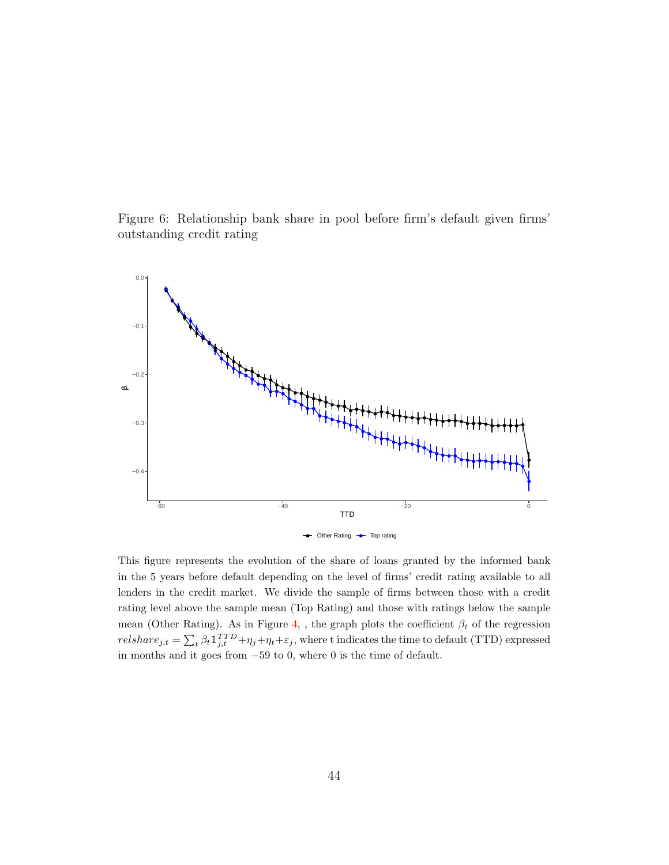<span id="page-44-0"></span>Figure 6: Relationship bank share in pool before firm's default given firms' outstanding credit rating



This figure represents the evolution of the share of loans granted by the informed bank in the 5 years before default depending on the level of firms' credit rating available to all lenders in the credit market. We divide the sample of firms between those with a credit rating level above the sample mean (Top Rating) and those with ratings below the sample mean (Other Rating). As in Figure [4,](#page-42-0) , the graph plots the coefficient  $\beta_t$  of the regression  $relshare_{j,t} = \sum_{t} \beta_t 1_{j,t}^{TTD} + \eta_j + \eta_t + \varepsilon_j$ , where t indicates the time to default (TTD) expressed in months and it goes from −59 to 0, where 0 is the time of default.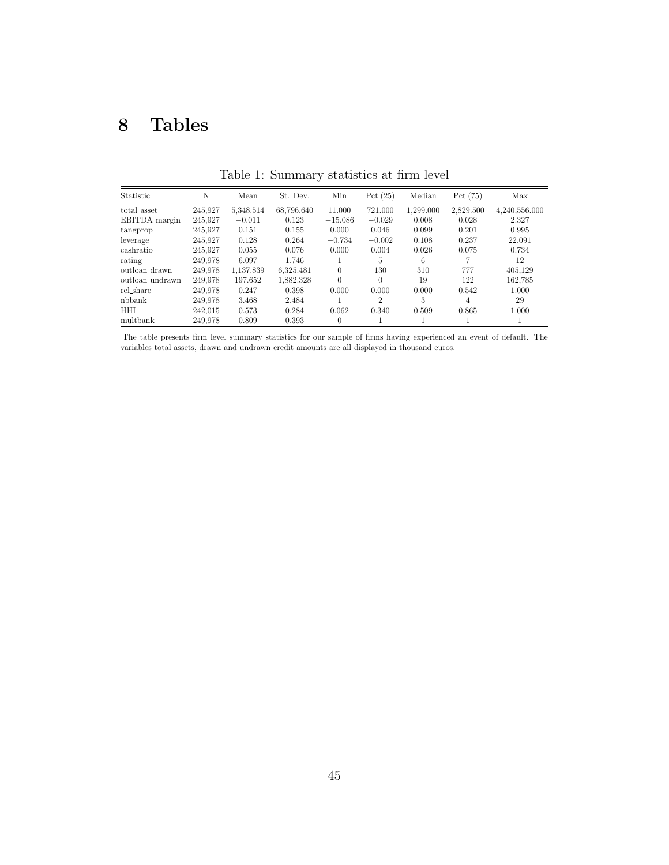# 8 Tables

<span id="page-45-0"></span>

| Statistic       | N       | Mean      | St. Dev.   | Min       | Pctl(25)       | Median    | Pctl(75)  | Max           |
|-----------------|---------|-----------|------------|-----------|----------------|-----------|-----------|---------------|
| total_asset     | 245.927 | 5,348.514 | 68,796.640 | 11.000    | 721.000        | 1.299.000 | 2.829.500 | 4,240,556.000 |
| EBITDA_margin   | 245.927 | $-0.011$  | 0.123      | $-15.086$ | $-0.029$       | 0.008     | 0.028     | 2.327         |
| tangprop        | 245.927 | 0.151     | 0.155      | 0.000     | 0.046          | 0.099     | 0.201     | 0.995         |
| leverage        | 245.927 | 0.128     | 0.264      | $-0.734$  | $-0.002$       | 0.108     | 0.237     | 22.091        |
| cashratio       | 245.927 | 0.055     | 0.076      | 0.000     | 0.004          | 0.026     | 0.075     | 0.734         |
| rating          | 249,978 | 6.097     | 1.746      |           | 5              | 6         |           | 12            |
| outloan drawn   | 249.978 | 1.137.839 | 6.325.481  | $\Omega$  | 130            | 310       | 777       | 405.129       |
| outloan_undrawn | 249.978 | 197.652   | 1.882.328  | $\theta$  | $\Omega$       | 19        | 122       | 162.785       |
| rel_share       | 249.978 | 0.247     | 0.398      | 0.000     | 0.000          | 0.000     | 0.542     | 1.000         |
| nbbank          | 249.978 | 3.468     | 2.484      |           | $\overline{2}$ | 3         | 4         | 29            |
| <b>HHI</b>      | 242.015 | 0.573     | 0.284      | 0.062     | 0.340          | 0.509     | 0.865     | 1.000         |
| multbank        | 249.978 | 0.809     | 0.393      | $\theta$  |                |           |           |               |

Table 1: Summary statistics at firm level

The table presents firm level summary statistics for our sample of firms having experienced an event of default. The variables total assets, drawn and undrawn credit amounts are all displayed in thousand euros.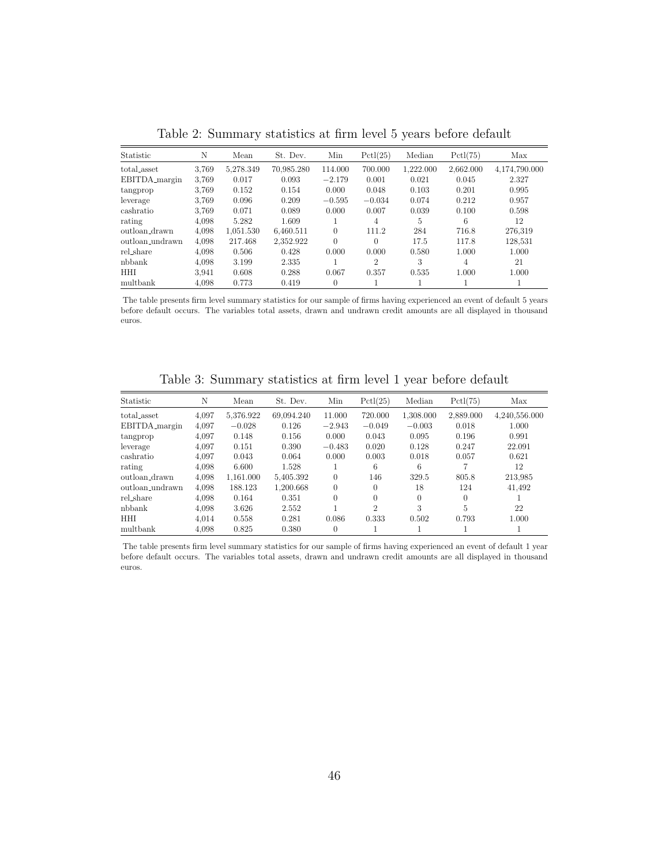<span id="page-46-0"></span>

| Statistic       | N     | Mean      | St. Dev.   | Min      | Pctl(25)       | Median    | Pctl(75)  | Max           |
|-----------------|-------|-----------|------------|----------|----------------|-----------|-----------|---------------|
| total_asset     | 3.769 | 5,278.349 | 70,985.280 | 114.000  | 700.000        | 1,222.000 | 2,662.000 | 4,174,790.000 |
| EBITDA_margin   | 3.769 | 0.017     | 0.093      | $-2.179$ | 0.001          | 0.021     | 0.045     | 2.327         |
| tangprop        | 3.769 | 0.152     | 0.154      | 0.000    | 0.048          | 0.103     | 0.201     | 0.995         |
| leverage        | 3.769 | 0.096     | 0.209      | $-0.595$ | $-0.034$       | 0.074     | 0.212     | 0.957         |
| cashratio       | 3.769 | 0.071     | 0.089      | 0.000    | 0.007          | 0.039     | 0.100     | 0.598         |
| rating          | 4,098 | 5.282     | 1.609      |          | 4              | 5         | 6         | 12            |
| outloan_drawn   | 4.098 | 1.051.530 | 6.460.511  | $\Omega$ | 111.2          | 284       | 716.8     | 276.319       |
| outloan_undrawn | 4,098 | 217.468   | 2.352.922  | $\Omega$ | 0              | 17.5      | 117.8     | 128,531       |
| rel_share       | 4.098 | 0.506     | 0.428      | 0.000    | 0.000          | 0.580     | 1.000     | 1.000         |
| nbbank          | 4.098 | 3.199     | 2.335      |          | $\overline{2}$ | 3         | 4         | 21            |
| HHI             | 3.941 | 0.608     | 0.288      | 0.067    | 0.357          | 0.535     | 1.000     | 1.000         |
| multbank        | 4,098 | 0.773     | 0.419      | $\theta$ |                |           |           |               |

Table 2: Summary statistics at firm level 5 years before default

The table presents firm level summary statistics for our sample of firms having experienced an event of default 5 years before default occurs. The variables total assets, drawn and undrawn credit amounts are all displayed in thousand euros.

Table 3: Summary statistics at firm level 1 year before default

<span id="page-46-1"></span>

| Statistic       | Ν     | Mean      | St. Dev.   | Min          | Pctl(25)       | Median    | Pctl(75)  | Max           |
|-----------------|-------|-----------|------------|--------------|----------------|-----------|-----------|---------------|
| total_asset     | 4.097 | 5,376.922 | 69.094.240 | 11.000       | 720.000        | 1,308.000 | 2,889.000 | 4,240,556.000 |
| EBITDA_margin   | 4,097 | $-0.028$  | 0.126      | $-2.943$     | $-0.049$       | $-0.003$  | 0.018     | 1.000         |
| tangprop        | 4,097 | 0.148     | 0.156      | 0.000        | 0.043          | 0.095     | 0.196     | 0.991         |
| leverage        | 4.097 | 0.151     | 0.390      | $-0.483$     | 0.020          | 0.128     | 0.247     | 22.091        |
| cashratio       | 4.097 | 0.043     | 0.064      | 0.000        | 0.003          | 0.018     | 0.057     | 0.621         |
| rating          | 4,098 | 6.600     | 1.528      |              | 6              | 6         |           | 12            |
| outloan_drawn   | 4,098 | 1.161.000 | 5.405.392  | $\Omega$     | 146            | 329.5     | 805.8     | 213,985       |
| outloan_undrawn | 4.098 | 188.123   | 1.200.668  | $\Omega$     | $\Omega$       | 18        | 124       | 41.492        |
| rel_share       | 4.098 | 0.164     | 0.351      | $\Omega$     | $\theta$       | $\theta$  | $\theta$  |               |
| nbbank          | 4.098 | 3.626     | 2.552      | $\mathbf{1}$ | $\overline{2}$ | 3         | 5         | 22            |
| <b>HHI</b>      | 4.014 | 0.558     | 0.281      | 0.086        | 0.333          | 0.502     | 0.793     | 1.000         |
| multbank        | 4.098 | 0.825     | 0.380      | $\Omega$     |                |           |           |               |

The table presents firm level summary statistics for our sample of firms having experienced an event of default 1 year before default occurs. The variables total assets, drawn and undrawn credit amounts are all displayed in thousand euros.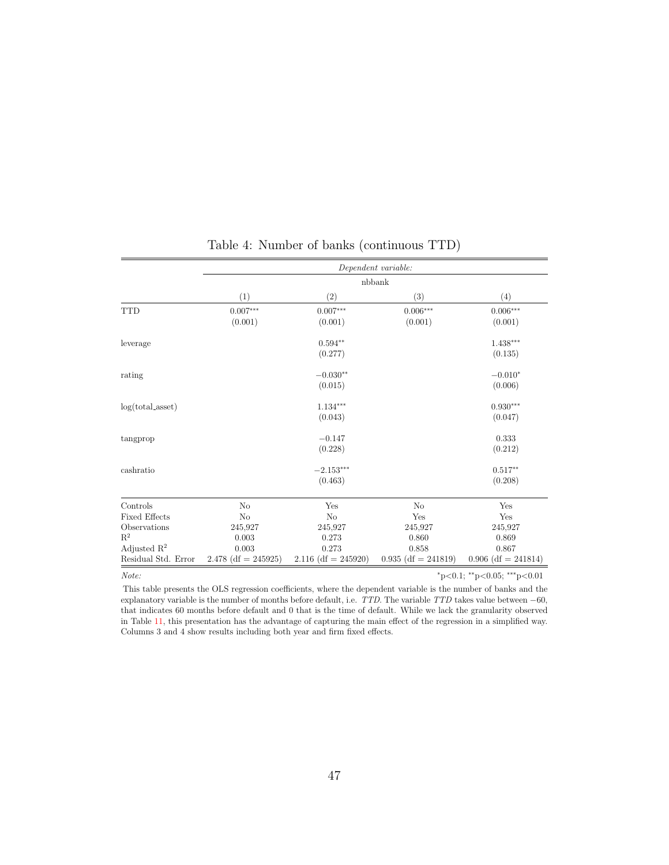<span id="page-47-0"></span>

|                         |                       |                       | Dependent variable:   |                             |
|-------------------------|-----------------------|-----------------------|-----------------------|-----------------------------|
|                         |                       |                       | nbbank                |                             |
|                         | (1)                   | (2)                   | (3)                   | (4)                         |
| <b>TTD</b>              | $0.007***$            | $0.007^{***}\,$       | $0.006***$            | $0.006***$                  |
|                         | (0.001)               | (0.001)               | (0.001)               | (0.001)                     |
| leverage                |                       | $0.594**$             |                       | $1.438***$                  |
|                         |                       | (0.277)               |                       | (0.135)                     |
| rating                  |                       | $-0.030**$            |                       | $-0.010*$                   |
|                         |                       | (0.015)               |                       | (0.006)                     |
| $log(total\_asset)$     |                       | $1.134***$            |                       | $0.930***$                  |
|                         |                       | (0.043)               |                       | (0.047)                     |
| tangprop                |                       | $-0.147$              |                       | 0.333                       |
|                         |                       | (0.228)               |                       | (0.212)                     |
| cashratio               |                       | $-2.153***$           |                       | $0.517**$                   |
|                         |                       | (0.463)               |                       | (0.208)                     |
| Controls                | No                    | Yes                   | N <sub>o</sub>        | Yes                         |
| <b>Fixed Effects</b>    | N <sub>o</sub>        | N <sub>o</sub>        | Yes                   | Yes                         |
| Observations            | 245,927               | 245,927               | 245,927               | 245,927                     |
| $R^2$                   | 0.003                 | 0.273                 | 0.860                 | 0.869                       |
| Adjusted $\mathbb{R}^2$ | 0.003                 | 0.273                 | 0.858                 | 0.867                       |
| Residual Std. Error     | $2.478$ (df = 245925) | $2.116$ (df = 245920) | $0.935$ (df = 241819) | $0.906$ (df = 241814)       |
| Note:                   |                       |                       |                       | *p<0.1; **p<0.05; ***p<0.01 |

# Table 4: Number of banks (continuous TTD)

This table presents the OLS regression coefficients, where the dependent variable is the number of banks and the explanatory variable is the number of months before default, i.e.  $TTD$ . The variable  $TTD$  takes value between  $-60$ , that indicates 60 months before default and 0 that is the time of default. While we lack the granularity observed in Table [11,](#page-56-0) this presentation has the advantage of capturing the main effect of the regression in a simplified way. Columns 3 and 4 show results including both year and firm fixed effects.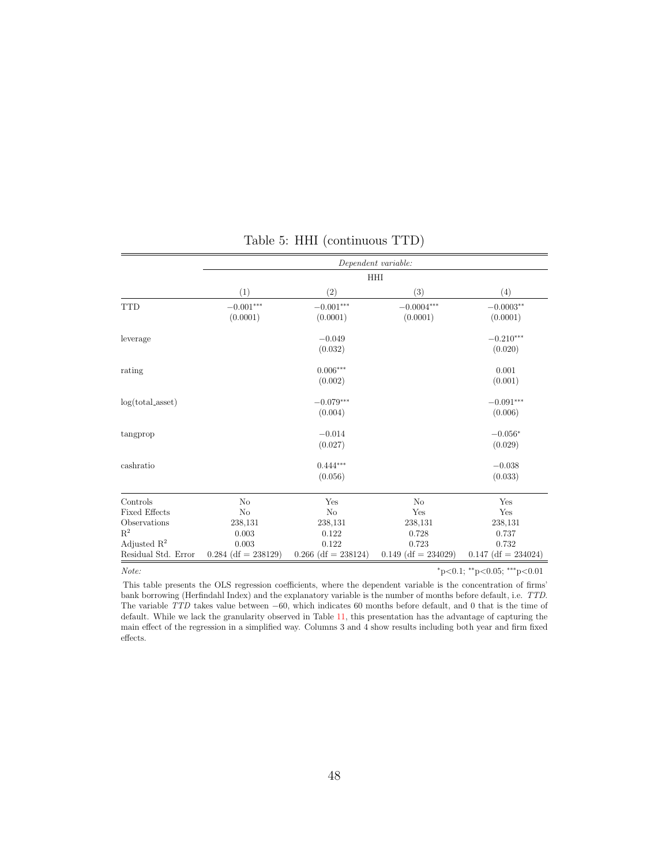<span id="page-48-0"></span>

|                         |                       |                       | Dependent variable:   |                             |
|-------------------------|-----------------------|-----------------------|-----------------------|-----------------------------|
|                         |                       |                       | <b>HHI</b>            |                             |
|                         | (1)                   | (2)                   | (3)                   | (4)                         |
| <b>TTD</b>              | $-0.001***$           | $-0.001***$           | $-0.0004***$          | $-0.0003**$                 |
|                         | (0.0001)              | (0.0001)              | (0.0001)              | (0.0001)                    |
| leverage                |                       | $-0.049$              |                       | $-0.210***$                 |
|                         |                       | (0.032)               |                       | (0.020)                     |
| rating                  |                       | $0.006***$            |                       | 0.001                       |
|                         |                       | (0.002)               |                       | (0.001)                     |
| $log(total\_asset)$     |                       | $-0.079***$           |                       | $-0.091***$                 |
|                         |                       | (0.004)               |                       | (0.006)                     |
| tangprop                |                       | $-0.014$              |                       | $-0.056*$                   |
|                         |                       | (0.027)               |                       | (0.029)                     |
| cashratio               |                       | $0.444***$            |                       | $-0.038$                    |
|                         |                       | (0.056)               |                       | (0.033)                     |
| Controls                | No                    | Yes                   | No                    | Yes                         |
| <b>Fixed Effects</b>    | No                    | No                    | Yes                   | Yes                         |
| Observations            | 238,131               | 238,131               | 238,131               | 238,131                     |
| $\mathbf{R}^2$          | 0.003                 | 0.122                 | 0.728                 | 0.737                       |
| Adjusted $\mathbb{R}^2$ | 0.003                 | 0.122                 | 0.723                 | 0.732                       |
| Residual Std. Error     | $0.284$ (df = 238129) | $0.266$ (df = 238124) | $0.149$ (df = 234029) | $0.147$ (df = 234024)       |
| Note:                   |                       |                       |                       | *p<0.1; **p<0.05; ***p<0.01 |

Table 5: HHI (continuous TTD)

This table presents the OLS regression coefficients, where the dependent variable is the concentration of firms' bank borrowing (Herfindahl Index) and the explanatory variable is the number of months before default, i.e. TTD. The variable TTD takes value between <sup>−</sup>60, which indicates 60 months before default, and 0 that is the time of default. While we lack the granularity observed in Table [11,](#page-56-0) this presentation has the advantage of capturing the main effect of the regression in a simplified way. Columns 3 and 4 show results including both year and firm fixed effects.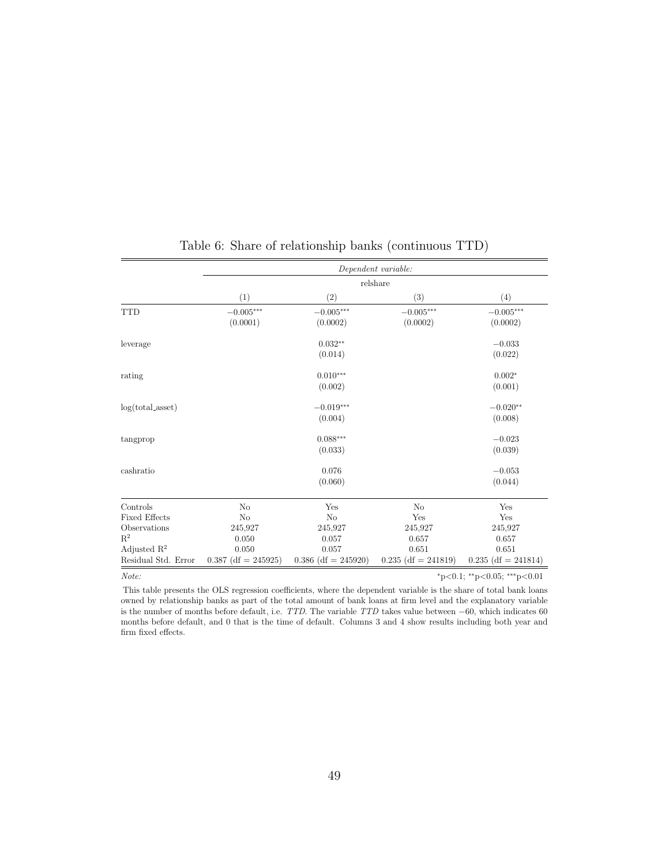<span id="page-49-0"></span>

|                         | Dependent variable:   |                       |                       |                             |  |  |  |  |  |
|-------------------------|-----------------------|-----------------------|-----------------------|-----------------------------|--|--|--|--|--|
|                         |                       |                       | relshare              |                             |  |  |  |  |  |
|                         | (1)                   | (2)                   | (3)                   | (4)                         |  |  |  |  |  |
| <b>TTD</b>              | $-0.005***$           | $-0.005***$           | $-0.005***$           | $-0.005***$                 |  |  |  |  |  |
|                         | (0.0001)              | (0.0002)              | (0.0002)              | (0.0002)                    |  |  |  |  |  |
| leverage                |                       | $0.032**$             |                       | $-0.033$                    |  |  |  |  |  |
|                         |                       | (0.014)               |                       | (0.022)                     |  |  |  |  |  |
| rating                  |                       | $0.010***$            |                       | $0.002*$                    |  |  |  |  |  |
|                         |                       | (0.002)               |                       | (0.001)                     |  |  |  |  |  |
| $log(total\_asset)$     |                       | $-0.019***$           |                       | $-0.020**$                  |  |  |  |  |  |
|                         |                       | (0.004)               |                       | (0.008)                     |  |  |  |  |  |
| tangprop                |                       | $0.088***$            |                       | $-0.023$                    |  |  |  |  |  |
|                         |                       | (0.033)               |                       | (0.039)                     |  |  |  |  |  |
| cashratio               |                       | 0.076                 |                       | $-0.053$                    |  |  |  |  |  |
|                         |                       | (0.060)               |                       | (0.044)                     |  |  |  |  |  |
| Controls                | No                    | Yes                   | No                    | Yes                         |  |  |  |  |  |
| <b>Fixed Effects</b>    | No                    | No                    | Yes                   | Yes                         |  |  |  |  |  |
| Observations            | 245,927               | 245,927               | 245,927               | 245,927                     |  |  |  |  |  |
| $\mathbf{R}^2$          | 0.050                 | 0.057                 | 0.657                 | 0.657                       |  |  |  |  |  |
| Adjusted $\mathbb{R}^2$ | 0.050                 | 0.057                 | 0.651                 | 0.651                       |  |  |  |  |  |
| Residual Std. Error     | $0.387$ (df = 245925) | $0.386$ (df = 245920) | $0.235$ (df = 241819) | $0.235$ (df = 241814)       |  |  |  |  |  |
| Note:                   |                       |                       |                       | *p<0.1; **p<0.05; ***p<0.01 |  |  |  |  |  |

### Table 6: Share of relationship banks (continuous TTD)

This table presents the OLS regression coefficients, where the dependent variable is the share of total bank loans owned by relationship banks as part of the total amount of bank loans at firm level and the explanatory variable is the number of months before default, i.e. TTD. The variable TTD takes value between <sup>−</sup>60, which indicates 60 months before default, and 0 that is the time of default. Columns 3 and 4 show results including both year and firm fixed effects.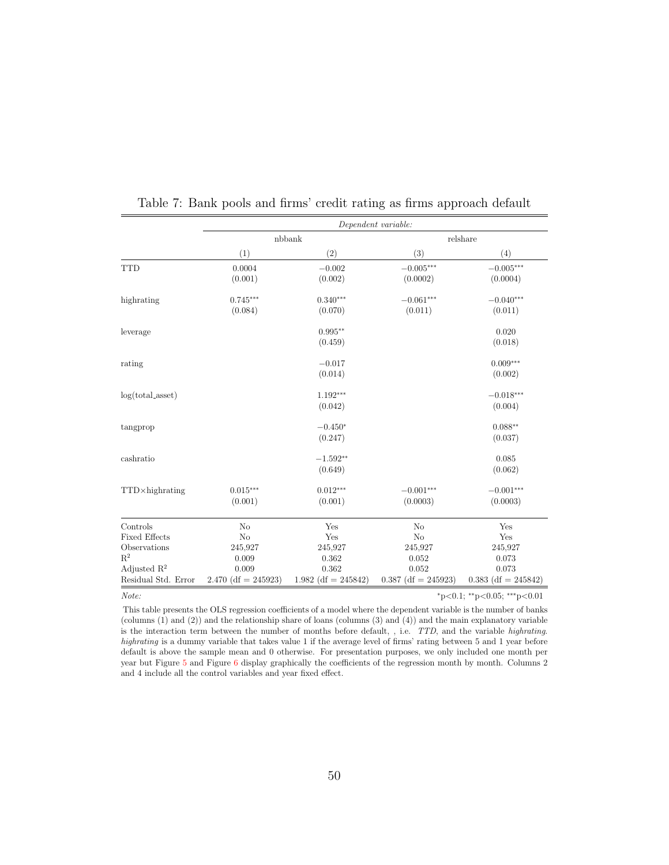|                                                | Dependent variable:            |                                 |                                    |                                |  |  |  |  |
|------------------------------------------------|--------------------------------|---------------------------------|------------------------------------|--------------------------------|--|--|--|--|
|                                                |                                | nbbank                          |                                    | relshare                       |  |  |  |  |
|                                                | (1)                            | (2)                             | (3)                                | (4)                            |  |  |  |  |
| <b>TTD</b>                                     | 0.0004<br>(0.001)              | $-0.002$<br>(0.002)             | $-0.005***$<br>(0.0002)            | $-0.005***$<br>(0.0004)        |  |  |  |  |
| highrating                                     | $0.745***$<br>(0.084)          | $0.340***$<br>(0.070)           | $-0.061***$<br>(0.011)             | $-0.040***$<br>(0.011)         |  |  |  |  |
| leverage                                       |                                | $0.995**$<br>(0.459)            |                                    | 0.020<br>(0.018)               |  |  |  |  |
| rating                                         |                                | $-0.017$<br>(0.014)             |                                    | $0.009***$<br>(0.002)          |  |  |  |  |
| $log(total\_asset)$                            |                                | $1.192***$<br>(0.042)           |                                    | $-0.018***$<br>(0.004)         |  |  |  |  |
| tangprop                                       |                                | $-0.450*$<br>(0.247)            |                                    | $0.088**$<br>(0.037)           |  |  |  |  |
| cashratio                                      |                                | $-1.592**$<br>(0.649)           |                                    | 0.085<br>(0.062)               |  |  |  |  |
| TTD×highrating                                 | $0.015***$<br>(0.001)          | $0.012***$<br>(0.001)           | $-0.001***$<br>(0.0003)            | $-0.001***$<br>(0.0003)        |  |  |  |  |
| Controls                                       | No                             | Yes                             | N <sub>o</sub>                     | Yes                            |  |  |  |  |
| <b>Fixed Effects</b><br>Observations<br>$R^2$  | No<br>245,927<br>0.009         | Yes<br>245,927<br>0.362         | N <sub>o</sub><br>245,927<br>0.052 | Yes<br>245,927<br>0.073        |  |  |  |  |
| Adjusted $\mathbb{R}^2$<br>Residual Std. Error | 0.009<br>$2.470$ (df = 245923) | 0.362<br>1.982 (df = $245842$ ) | 0.052<br>$0.387$ (df = 245923)     | 0.073<br>$0.383$ (df = 245842) |  |  |  |  |

<span id="page-50-0"></span>Table 7: Bank pools and firms' credit rating as firms approach default

Note: \*p<0.05; \*\*\*p<0.05; \*\*\*p<0.05; \*\*\*p<0.01

This table presents the OLS regression coefficients of a model where the dependent variable is the number of banks (columns (1) and (2)) and the relationship share of loans (columns (3) and (4)) and the main explanatory variable is the interaction term between the number of months before default, , i.e. TTD, and the variable highrating. highrating is a dummy variable that takes value 1 if the average level of firms' rating between 5 and 1 year before default is above the sample mean and 0 otherwise. For presentation purposes, we only included one month per year but Figure [5](#page-43-0) and Figure [6](#page-44-0) display graphically the coefficients of the regression month by month. Columns 2 and 4 include all the control variables and year fixed effect.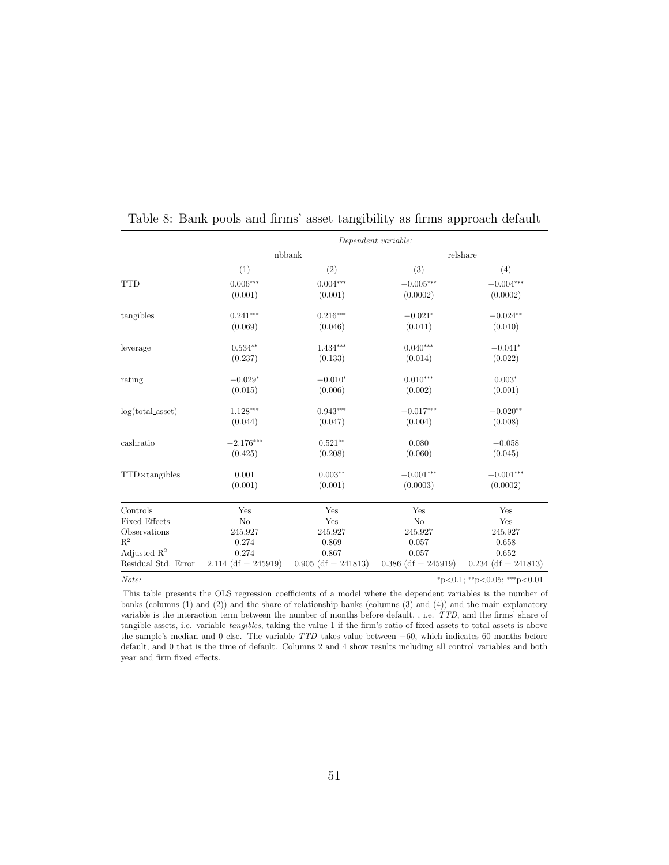|                         |                       |                       | Dependent variable:   |                       |
|-------------------------|-----------------------|-----------------------|-----------------------|-----------------------|
|                         |                       | nbbank                |                       | relshare              |
|                         | (1)                   | (2)                   | (3)                   | (4)                   |
| <b>TTD</b>              | $0.006***$            | $0.004***$            | $-0.005***$           | $-0.004***$           |
|                         | (0.001)               | (0.001)               | (0.0002)              | (0.0002)              |
| tangibles               | $0.241***$            | $0.216***$            | $-0.021*$             | $-0.024**$            |
|                         | (0.069)               | (0.046)               | (0.011)               | (0.010)               |
| leverage                | $0.534**$             | $1.434***$            | $0.040***$            | $-0.041*$             |
|                         | (0.237)               | (0.133)               | (0.014)               | (0.022)               |
| rating                  | $-0.029*$             | $-0.010*$             | $0.010***$            | $0.003*$              |
|                         | (0.015)               | (0.006)               | (0.002)               | (0.001)               |
| $log(total\_asset)$     | $1.128***$            | $0.943***$            | $-0.017***$           | $-0.020**$            |
|                         | (0.044)               | (0.047)               | (0.004)               | (0.008)               |
| cashratio               | $-2.176***$           | $0.521**$             | 0.080                 | $-0.058$              |
|                         | (0.425)               | (0.208)               | (0.060)               | (0.045)               |
| $TTD\times$ tangibles   | 0.001                 | $0.003**$             | $-0.001***$           | $-0.001***$           |
|                         | (0.001)               | (0.001)               | (0.0003)              | (0.0002)              |
| Controls                | Yes                   | Yes                   | Yes                   | Yes                   |
| <b>Fixed Effects</b>    | N <sub>o</sub>        | Yes                   | N <sub>o</sub>        | Yes                   |
| Observations            | 245,927               | 245,927               | 245,927               | 245,927               |
| $R^2$                   | 0.274                 | 0.869                 | 0.057                 | 0.658                 |
| Adjusted $\mathbb{R}^2$ | 0.274                 | 0.867                 | 0.057                 | 0.652                 |
| Residual Std. Error     | $2.114$ (df = 245919) | $0.905$ (df = 241813) | $0.386$ (df = 245919) | $0.234$ (df = 241813) |

<span id="page-51-0"></span>

|  |  |  | Table 8: Bank pools and firms' asset tangibility as firms approach default |  |  |
|--|--|--|----------------------------------------------------------------------------|--|--|
|  |  |  |                                                                            |  |  |

 $Note:$   $*_{p<0.1; *_{p<0.05; * * *_{p<0.01}}$ 

This table presents the OLS regression coefficients of a model where the dependent variables is the number of banks (columns (1) and (2)) and the share of relationship banks (columns (3) and (4)) and the main explanatory variable is the interaction term between the number of months before default, , i.e. TTD, and the firms' share of tangible assets, i.e. variable tangibles, taking the value 1 if the firm's ratio of fixed assets to total assets is above the sample's median and 0 else. The variable TTD takes value between <sup>−</sup>60, which indicates 60 months before default, and 0 that is the time of default. Columns 2 and 4 show results including all control variables and both year and firm fixed effects.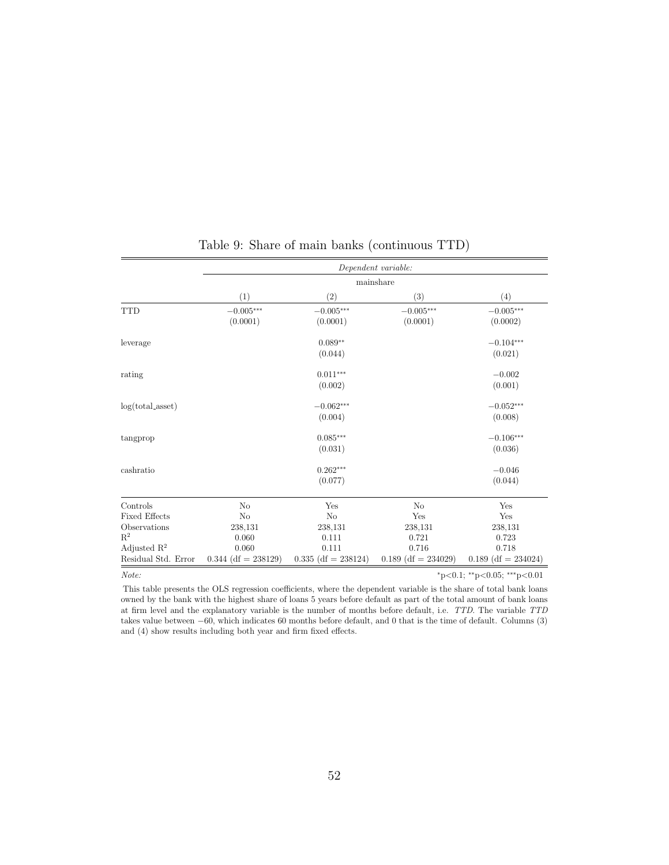<span id="page-52-0"></span>

|                         |                       | Dependent variable:   |                       |                                           |  |  |  |  |  |
|-------------------------|-----------------------|-----------------------|-----------------------|-------------------------------------------|--|--|--|--|--|
|                         |                       |                       | mainshare             |                                           |  |  |  |  |  |
|                         | (1)                   | (2)                   | (3)                   | (4)                                       |  |  |  |  |  |
| <b>TTD</b>              | $-0.005\mbox{***}$    | $-0.005\mbox{***}$    | $-0.005***$           | $-0.005^{\ast\ast\ast}$                   |  |  |  |  |  |
|                         | (0.0001)              | (0.0001)              | (0.0001)              | (0.0002)                                  |  |  |  |  |  |
| leverage                |                       | $0.089**$             |                       | $-0.104***$                               |  |  |  |  |  |
|                         |                       | (0.044)               |                       | (0.021)                                   |  |  |  |  |  |
| rating                  |                       | $0.011***$            |                       | $-0.002$                                  |  |  |  |  |  |
|                         |                       | (0.002)               |                       | (0.001)                                   |  |  |  |  |  |
| $log(total\_asset)$     |                       | $-0.062***$           |                       | $-0.052***$                               |  |  |  |  |  |
|                         |                       | (0.004)               |                       | (0.008)                                   |  |  |  |  |  |
| tangprop                |                       | $0.085***$            |                       | $-0.106***$                               |  |  |  |  |  |
|                         |                       | (0.031)               |                       | (0.036)                                   |  |  |  |  |  |
| cashratio               |                       | $0.262***$            |                       | $-0.046$                                  |  |  |  |  |  |
|                         |                       | (0.077)               |                       | (0.044)                                   |  |  |  |  |  |
| Controls                | No                    | Yes                   | N <sub>o</sub>        | Yes                                       |  |  |  |  |  |
| <b>Fixed Effects</b>    | No                    | N <sub>o</sub>        | Yes                   | Yes                                       |  |  |  |  |  |
| Observations            | 238,131               | 238,131               | 238,131               | 238,131                                   |  |  |  |  |  |
| $R^2$                   | 0.060                 | 0.111                 | 0.721                 | 0.723                                     |  |  |  |  |  |
| Adjusted $\mathbb{R}^2$ | 0.060                 | 0.111                 | 0.716                 | 0.718                                     |  |  |  |  |  |
| Residual Std. Error     | $0.344$ (df = 238129) | $0.335$ (df = 238124) | $0.189$ (df = 234029) | $0.189$ (df = 234024)                     |  |  |  |  |  |
| Note:                   |                       |                       |                       | $*_{p<0.1}$ ; $*_{p<0.05}$ ; $*_{p<0.01}$ |  |  |  |  |  |

# Table 9: Share of main banks (continuous TTD)

This table presents the OLS regression coefficients, where the dependent variable is the share of total bank loans owned by the bank with the highest share of loans 5 years before default as part of the total amount of bank loans at firm level and the explanatory variable is the number of months before default, i.e. TTD. The variable TTD takes value between <sup>−</sup>60, which indicates 60 months before default, and 0 that is the time of default. Columns (3) and (4) show results including both year and firm fixed effects.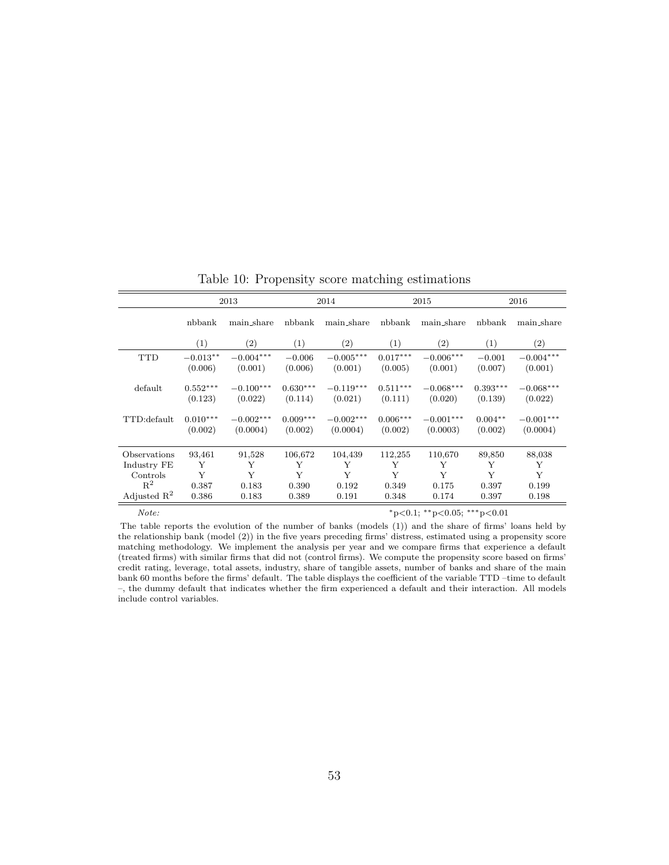<span id="page-53-0"></span>

|                         |            | 2013              | 2014              |                   | 2015              |                   | 2016       |                   |
|-------------------------|------------|-------------------|-------------------|-------------------|-------------------|-------------------|------------|-------------------|
|                         | nbbank     | main_share        | nbbank            | main_share        | nbbank            | main_share        | nbbank     | main_share        |
|                         | (1)        | $\left( 2\right)$ | $\left( 1\right)$ | $\left( 2\right)$ | $\left( 1\right)$ | $\left( 2\right)$ | (1)        | $\left( 2\right)$ |
| <b>TTD</b>              | $-0.013**$ | $-0.004***$       | $-0.006$          | $-0.005***$       | $0.017***$        | $-0.006***$       | $-0.001$   | $-0.004***$       |
|                         | (0.006)    | (0.001)           | (0.006)           | (0.001)           | (0.005)           | (0.001)           | (0.007)    | (0.001)           |
| default                 | $0.552***$ | $-0.100***$       | $0.630***$        | $-0.119***$       | $0.511***$        | $-0.068***$       | $0.393***$ | $-0.068***$       |
|                         | (0.123)    | (0.022)           | (0.114)           | (0.021)           | (0.111)           | (0.020)           | (0.139)    | (0.022)           |
| TTD:default             | $0.010***$ | $-0.002***$       | $0.009***$        | $-0.002***$       | $0.006***$        | $-0.001***$       | $0.004**$  | $-0.001***$       |
|                         | (0.002)    | (0.0004)          | (0.002)           | (0.0004)          | (0.002)           | (0.0003)          | (0.002)    | (0.0004)          |
| Observations            | 93,461     | 91,528            | 106,672           | 104,439           | 112,255           | 110,670           | 89,850     | 88,038            |
| Industry FE             | Y          | Y                 | Y                 | Y                 | Y                 | Y                 | Y          | Y                 |
| Controls                | Y          | Y                 | Y                 | Y                 | Y                 | Y                 | Y          | Y                 |
| $R^2$                   | 0.387      | 0.183             | 0.390             | 0.192             | 0.349             | 0.175             | 0.397      | 0.199             |
| Adjusted $\mathbb{R}^2$ | 0.386      | 0.183             | 0.389             | 0.191             | 0.348             | 0.174             | 0.397      | 0.198             |

Table 10: Propensity score matching estimations

Note: \*\*\*p<0.05; \*\*\*p<0.01

The table reports the evolution of the number of banks (models (1)) and the share of firms' loans held by the relationship bank (model (2)) in the five years preceding firms' distress, estimated using a propensity score matching methodology. We implement the analysis per year and we compare firms that experience a default (treated firms) with similar firms that did not (control firms). We compute the propensity score based on firms' credit rating, leverage, total assets, industry, share of tangible assets, number of banks and share of the main bank 60 months before the firms' default. The table displays the coefficient of the variable TTD –time to default –, the dummy default that indicates whether the firm experienced a default and their interaction. All models include control variables.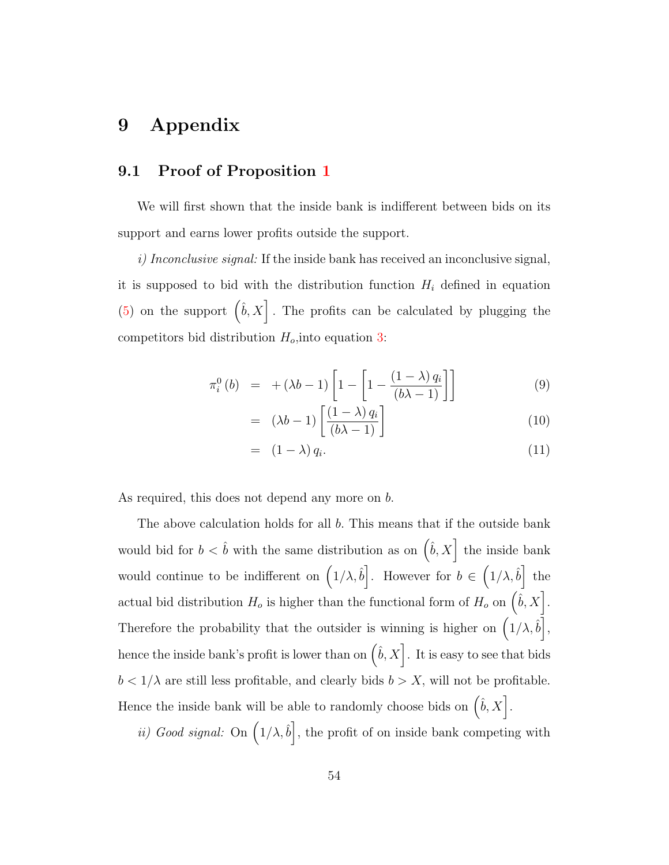# 9 Appendix

## <span id="page-54-0"></span>9.1 Proof of Proposition [1](#page-13-0)

We will first shown that the inside bank is indifferent between bids on its support and earns lower profits outside the support.

 $i)$  Inconclusive signal: If the inside bank has received an inconclusive signal, it is supposed to bid with the distribution function  $H_i$  defined in equation [\(5\)](#page-13-1) on the support  $(\hat{b}, X]$ . The profits can be calculated by plugging the competitors bid distribution  $H_o$ , into equation [3:](#page-12-1)

$$
\pi_i^0(b) = +(\lambda b - 1) \left[ 1 - \left[ 1 - \frac{(1 - \lambda) q_i}{(b\lambda - 1)} \right] \right] \tag{9}
$$

$$
= (\lambda b - 1) \left[ \frac{(1 - \lambda) q_i}{(b\lambda - 1)} \right] \tag{10}
$$

$$
= (1 - \lambda) q_i. \tag{11}
$$

As required, this does not depend any more on b.

The above calculation holds for all b. This means that if the outside bank would bid for  $b < \hat{b}$  with the same distribution as on  $(\hat{b}, X]$  the inside bank would continue to be indifferent on  $(1/\lambda, \hat{b})$ . However for  $b \in (1/\lambda, \hat{b})$  the actual bid distribution  $H_o$  is higher than the functional form of  $H_o$  on  $\left(\hat{b}, X\right]$ . Therefore the probability that the outsider is winning is higher on  $(1/\lambda, \hat{b})$ , hence the inside bank's profit is lower than on  $(\hat{b}, X]$ . It is easy to see that bids  $b < 1/\lambda$  are still less profitable, and clearly bids  $b > X$ , will not be profitable. Hence the inside bank will be able to randomly choose bids on  $(\hat{b}, X]$ .

*ii*) Good signal: On  $(1/\lambda, \hat{b})$ , the profit of on inside bank competing with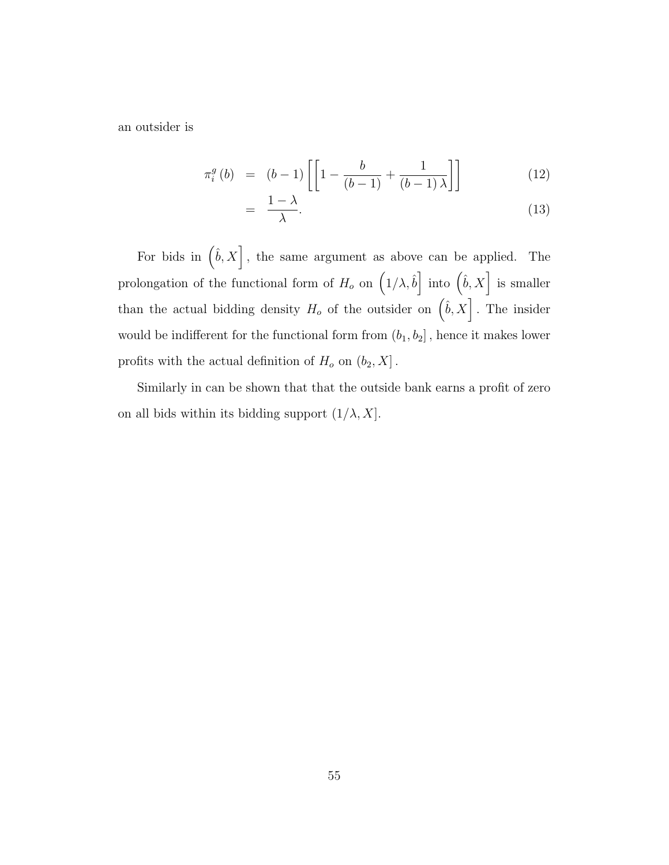an outsider is

$$
\pi_i^g(b) = (b-1)\left[\left[1 - \frac{b}{(b-1)} + \frac{1}{(b-1)\lambda}\right]\right] \tag{12}
$$

$$
= \frac{1-\lambda}{\lambda}.\tag{13}
$$

For bids in  $(\hat{b}, X)$ , the same argument as above can be applied. The prolongation of the functional form of  $H_o$  on  $(1/\lambda, \hat{b})$  into  $(\hat{b}, X)$  is smaller than the actual bidding density  $H_o$  of the outsider on  $(\hat{b}, X]$ . The insider would be indifferent for the functional form from  $(b_1, b_2]$ , hence it makes lower profits with the actual definition of  $H_o$  on  $(b_2, X]$ .

Similarly in can be shown that that the outside bank earns a profit of zero on all bids within its bidding support  $(1/\lambda, X]$ .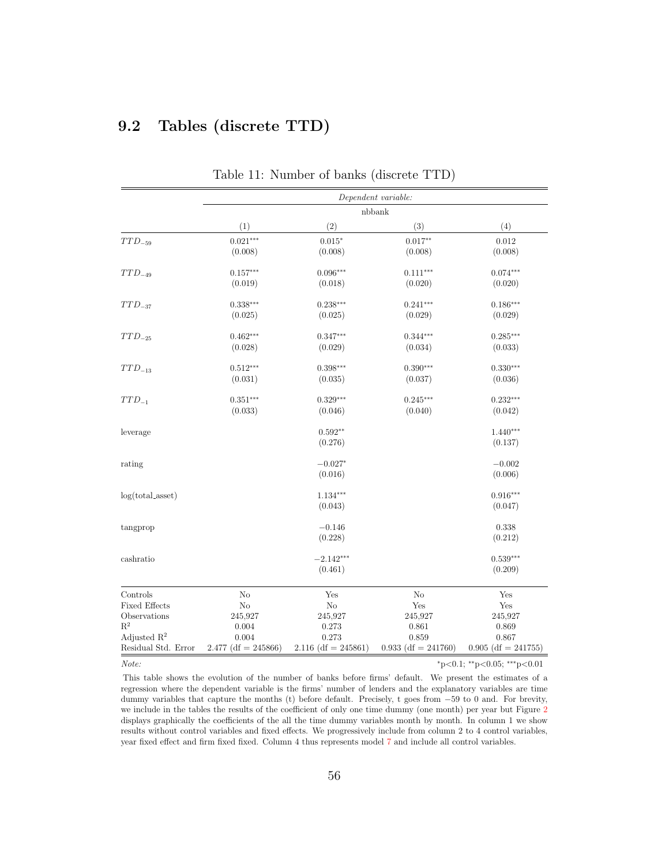# 9.2 Tables (discrete TTD)

<span id="page-56-0"></span>

|                      |                       |                       | Dependent variable:   |                       |
|----------------------|-----------------------|-----------------------|-----------------------|-----------------------|
|                      |                       |                       | nbbank                |                       |
|                      | (1)                   | (2)                   | (3)                   | (4)                   |
| $TTD_{-59}$          | $0.021***$            | $0.015*$              | $0.017**$             | 0.012                 |
|                      | (0.008)               | (0.008)               | (0.008)               | (0.008)               |
| $TTD_{-49}$          | $0.157***$            | $0.096***$            | $0.111***$            | $0.074***$            |
|                      | (0.019)               | (0.018)               | (0.020)               | (0.020)               |
| $TTD_{-37}$          | $0.338***$            | $0.238***$            | $0.241***$            | $0.186***$            |
|                      | (0.025)               | (0.025)               | (0.029)               | (0.029)               |
| $TTD_{-25}$          | $0.462***$            | $0.347***$            | $0.344***$            | $0.285***$            |
|                      | (0.028)               | (0.029)               | (0.034)               | (0.033)               |
| $TTD_{-13}$          | $0.512***$            | $0.398***$            | $0.390***$            | $0.330***$            |
|                      | (0.031)               | (0.035)               | (0.037)               | (0.036)               |
| $TTD_{-1}$           | $0.351***$            | $0.329***$            | $0.245***$            | $0.232***$            |
|                      | (0.033)               | (0.046)               | (0.040)               | (0.042)               |
| leverage             |                       | $0.592**$             |                       | $1.440***$            |
|                      |                       | (0.276)               |                       | (0.137)               |
| rating               |                       | $-0.027*$             |                       | $-0.002$              |
|                      |                       | (0.016)               |                       | (0.006)               |
| $log(total\_asset)$  |                       | $1.134***$            |                       | $0.916***$            |
|                      |                       | (0.043)               |                       | (0.047)               |
| tangprop             |                       | $-0.146$              |                       | 0.338                 |
|                      |                       | (0.228)               |                       | (0.212)               |
| cashratio            |                       | $-2.142***$           |                       | $0.539***$            |
|                      |                       | (0.461)               |                       | (0.209)               |
| $\text{Controls}$    | No                    | Yes                   | N <sub>o</sub>        | Yes                   |
| <b>Fixed Effects</b> | $\rm No$              | $\rm No$              | Yes                   | Yes                   |
| Observations         | 245,927               | 245,927               | 245,927               | 245,927               |
| $\mathbf{R}^2$       | 0.004                 | 0.273                 | 0.861                 | 0.869                 |
| Adjusted $R^2$       | 0.004                 | 0.273                 | 0.859                 | 0.867                 |
| Residual Std. Error  | $2.477$ (df = 245866) | $2.116$ (df = 245861) | $0.933$ (df = 241760) | $0.905$ (df = 241755) |

Table 11: Number of banks (discrete TTD)

 $Note:$   $*_{p<0.1; *_{p<0.05; * *_{p<0.01}}$ 

This table shows the evolution of the number of banks before firms' default. We present the estimates of a regression where the dependent variable is the firms' number of lenders and the explanatory variables are time dummy variables that capture the months (t) before default. Precisely, t goes from <sup>−</sup>59 to 0 and. For brevity, we include in the tables the results of the coefficient of only one time dummy (one month) per year but Figure [2](#page-40-0) displays graphically the coefficients of the all the time dummy variables month by month. In column 1 we show results without control variables and fixed effects. We progressively include from column 2 to 4 control variables, year fixed effect and firm fixed fixed. Column 4 thus represents model [7](#page-21-1) and include all control variables.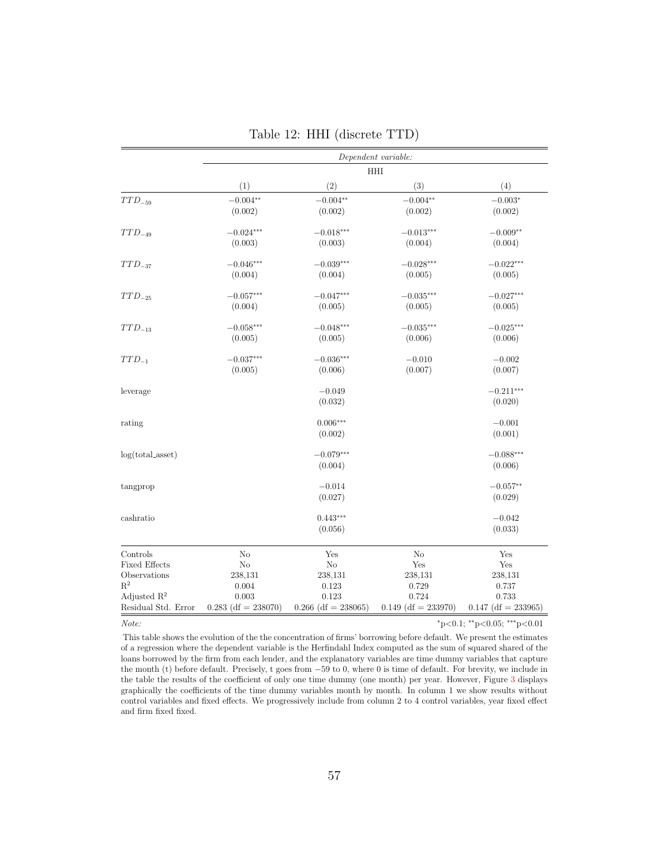<span id="page-57-0"></span>

|                         | Dependent variable:   |                       |                       |                       |  |  |  |
|-------------------------|-----------------------|-----------------------|-----------------------|-----------------------|--|--|--|
|                         | HHI                   |                       |                       |                       |  |  |  |
|                         | (1)                   | (2)                   | (3)                   | (4)                   |  |  |  |
| $TTD_{-59}$             | $-0.004**$            | $-0.004**$            | $-0.004**$            | $-0.003*$             |  |  |  |
|                         | (0.002)               | (0.002)               | (0.002)               | (0.002)               |  |  |  |
| $TTD_{-49}$             | $-0.024***$           | $-0.018***$           | $-0.013***$           | $-0.009**$            |  |  |  |
|                         | (0.003)               | (0.003)               | (0.004)               | (0.004)               |  |  |  |
| $TTD_{-37}$             | $-0.046***$           | $-0.039***$           | $-0.028***$           | $-0.022***$           |  |  |  |
|                         | (0.004)               | (0.004)               | (0.005)               | (0.005)               |  |  |  |
| $TTD_{-25}$             | $-0.057***$           | $-0.047***$           | $-0.035***$           | $-0.027***$           |  |  |  |
|                         | (0.004)               | (0.005)               | (0.005)               | (0.005)               |  |  |  |
| $TTD_{-13}$             | $-0.058***$           | $-0.048***$           | $-0.035***$           | $-0.025***$           |  |  |  |
|                         | (0.005)               | (0.005)               | (0.006)               | (0.006)               |  |  |  |
| $TTD_{-1}$              | $-0.037***$           | $-0.036***$           | $-0.010$              | $-0.002$              |  |  |  |
|                         | (0.005)               | (0.006)               | (0.007)               | (0.007)               |  |  |  |
| leverage                |                       | $-0.049$              |                       | $-0.211***$           |  |  |  |
|                         |                       | (0.032)               |                       | (0.020)               |  |  |  |
| rating                  |                       | $0.006***$            |                       | $-0.001$              |  |  |  |
|                         |                       | (0.002)               |                       | (0.001)               |  |  |  |
| $log(total\_asset)$     |                       | $-0.079***$           |                       | $-0.088***$           |  |  |  |
|                         |                       | (0.004)               |                       | (0.006)               |  |  |  |
| tangprop                |                       | $-0.014$              |                       | $-0.057**$            |  |  |  |
|                         |                       | (0.027)               |                       | (0.029)               |  |  |  |
| cashratio               |                       | $0.443***$            |                       | $-0.042$              |  |  |  |
|                         |                       | (0.056)               |                       | (0.033)               |  |  |  |
| Controls                | No                    | Yes                   | No                    | Yes                   |  |  |  |
| <b>Fixed Effects</b>    | $\rm No$              | N <sub>o</sub>        | Yes                   | Yes                   |  |  |  |
| Observations            | 238,131               | 238,131               | 238,131               | 238,131               |  |  |  |
| $\mathbf{R}^2$          | 0.004                 | 0.123                 | 0.729                 | 0.737                 |  |  |  |
| Adjusted $\mathbb{R}^2$ | 0.003                 | 0.123                 | 0.724                 | 0.733                 |  |  |  |
| Residual Std. Error     | $0.283$ (df = 238070) | $0.266$ (df = 238065) | $0.149$ (df = 233970) | $0.147$ (df = 233965) |  |  |  |

|  | Table 12: HHI (discrete TTD) |
|--|------------------------------|
|--|------------------------------|

 $Note:$   $*_{p<0.1; *_{p<0.05;} **_{p<0.01}}$ 

This table shows the evolution of the the concentration of firms' borrowing before default. We present the estimates of a regression where the dependent variable is the Herfindahl Index computed as the sum of squared shared of the loans borrowed by the firm from each lender, and the explanatory variables are time dummy variables that capture the month (t) before default. Precisely, t goes from <sup>−</sup>59 to 0, where 0 is time of default. For brevity, we include in the table the results of the coefficient of only one time dummy (one month) per year. However, Figure [3](#page-41-0) displays graphically the coefficients of the time dummy variables month by month. In column 1 we show results without control variables and fixed effects. We progressively include from column 2 to 4 control variables, year fixed effect and firm fixed fixed.